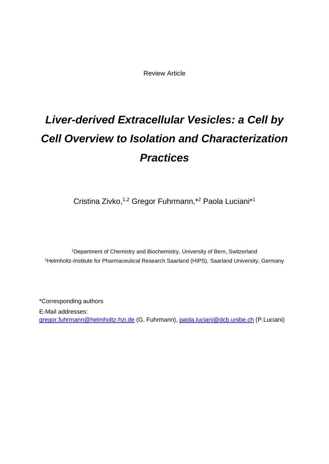Review Article

# *Liver-derived Extracellular Vesicles: a Cell by Cell Overview to Isolation and Characterization Practices*

Cristina Zivko,<sup>1,2</sup> Gregor Fuhrmann, \*<sup>2</sup> Paola Luciani\*<sup>1</sup>

<sup>1</sup>Department of Chemistry and Biochemistry, University of Bern, Switzerland <sup>2</sup>Helmholtz-Institute for Pharmaceutical Research Saarland (HIPS), Saarland University, Germany

\*Corresponding authors E-Mail addresses: [gregor.fuhrmann@helmholtz-hzi.de](mailto:gregor.fuhrmann@helmholtz-hzi.de) (G. Fuhrmann), [paola.luciani@dcb.unibe.ch](mailto:paola.luciani@dcb.unibe.ch) (P.Luciani)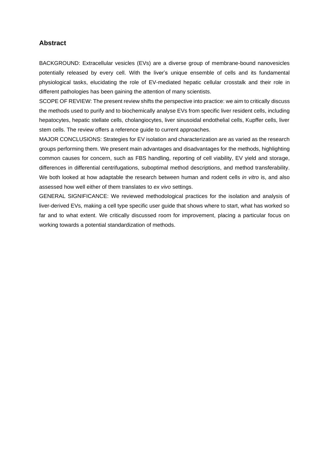# **Abstract**

BACKGROUND: Extracellular vesicles (EVs) are a diverse group of membrane-bound nanovesicles potentially released by every cell. With the liver's unique ensemble of cells and its fundamental physiological tasks, elucidating the role of EV-mediated hepatic cellular crosstalk and their role in different pathologies has been gaining the attention of many scientists.

SCOPE OF REVIEW: The present review shifts the perspective into practice: we aim to critically discuss the methods used to purify and to biochemically analyse EVs from specific liver resident cells, including hepatocytes, hepatic stellate cells, cholangiocytes, liver sinusoidal endothelial cells, Kupffer cells, liver stem cells. The review offers a reference guide to current approaches.

MAJOR CONCLUSIONS: Strategies for EV isolation and characterization are as varied as the research groups performing them. We present main advantages and disadvantages for the methods, highlighting common causes for concern, such as FBS handling, reporting of cell viability, EV yield and storage, differences in differential centrifugations, suboptimal method descriptions, and method transferability. We both looked at how adaptable the research between human and rodent cells *in vitro* is, and also assessed how well either of them translates to *ex vivo* settings.

GENERAL SIGNIFICANCE: We reviewed methodological practices for the isolation and analysis of liver-derived EVs, making a cell type specific user guide that shows where to start, what has worked so far and to what extent. We critically discussed room for improvement, placing a particular focus on working towards a potential standardization of methods.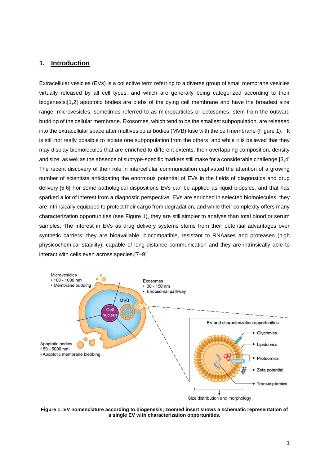# **1. Introduction**

Extracellular vesicles (EVs) is a collective term referring to a diverse group of small membrane vesicles virtually released by all cell types, and which are generally being categorized according to their biogenesis:[1,2] apoptotic bodies are blebs of the dying cell membrane and have the broadest size range; microvesicles, sometimes referred to as microparticles or ectosomes, stem from the outward budding of the cellular membrane. Exosomes, which tend to be the smallest subpopulation, are released into the extracellular space after multivesicular bodies (MVB) fuse with the cell membrane [\(Figure 1\)](#page-2-0). It is still not really possible to isolate one subpopulation from the others, and while it is believed that they may display biomolecules that are enriched to different extents, their overlapping composition, density and size, as well as the absence of subtype-specific markers still make for a considerable challenge.[3,4] The recent discovery of their role in intercellular communication captivated the attention of a growing number of scientists anticipating the enormous potential of EVs in the fields of diagnostics and drug delivery.[5,6] For some pathological dispositions EVs can be applied as liquid biopsies, and that has sparked a lot of interest from a diagnostic perspective. EVs are enriched in selected biomolecules, they are intrinsically equipped to protect their cargo from degradation, and while their complexity offers many characterization opportunities (see [Figure 1\)](#page-2-0), they are still simpler to analyse than total blood or serum samples. The interest in EVs as drug delivery systems stems from their potential advantages over synthetic carriers: they are bioavailable, biocompatible, resistant to RNAases and proteases (high physicochemical stability), capable of long-distance communication and they are intrinsically able to interact with cells even across species.[7–9]



<span id="page-2-0"></span>**Figure 1: EV nomenclature according to biogenesis; zoomed insert shows a schematic representation of a single EV with characterization opportunities.**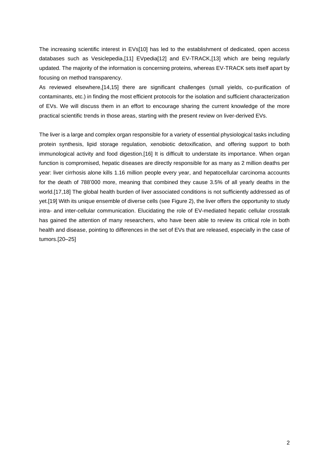The increasing scientific interest in EVs[10] has led to the establishment of dedicated, open access databases such as Vesiclepedia,[11] EVpedia[12] and EV-TRACK,[13] which are being regularly updated. The majority of the information is concerning proteins, whereas EV-TRACK sets itself apart by focusing on method transparency.

As reviewed elsewhere,[14,15] there are significant challenges (small yields, co-purification of contaminants, etc.) in finding the most efficient protocols for the isolation and sufficient characterization of EVs. We will discuss them in an effort to encourage sharing the current knowledge of the more practical scientific trends in those areas, starting with the present review on liver-derived EVs.

The liver is a large and complex organ responsible for a variety of essential physiological tasks including protein synthesis, lipid storage regulation, xenobiotic detoxification, and offering support to both immunological activity and food digestion.[16] It is difficult to understate its importance. When organ function is compromised, hepatic diseases are directly responsible for as many as 2 million deaths per year: liver cirrhosis alone kills 1.16 million people every year, and hepatocellular carcinoma accounts for the death of 788'000 more, meaning that combined they cause 3.5% of all yearly deaths in the world.[17,18] The global health burden of liver associated conditions is not sufficiently addressed as of yet.[19] With its unique ensemble of diverse cells (se[e Figure 2\)](#page-4-0), the liver offers the opportunity to study intra- and inter-cellular communication. Elucidating the role of EV-mediated hepatic cellular crosstalk has gained the attention of many researchers, who have been able to review its critical role in both health and disease, pointing to differences in the set of EVs that are released, especially in the case of tumors.[20–25]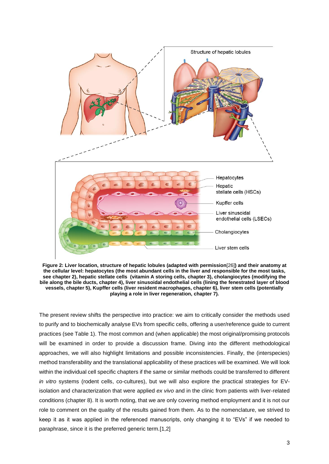

**Figure 2: Liver location, structure of hepatic lobules (adapted with permission**[26]**) and their anatomy at the cellular level: hepatocytes (the most abundant cells in the liver and responsible for the most tasks, see chapter 2), hepatic stellate cells (vitamin A storing cells, chapter 3), cholangiocytes (modifying the bile along the bile ducts, chapter 4), liver sinusoidal endothelial cells (lining the fenestrated layer of blood vessels, chapter 5), Kupffer cells (liver resident macrophages, chapter 6), liver stem cells (potentially playing a role in liver regeneration, chapter 7).**

<span id="page-4-0"></span>The present review shifts the perspective into practice: we aim to critically consider the methods used to purify and to biochemically analyse EVs from specific cells, offering a user/reference guide to current practices (see Table 1). The most common and (when applicable) the most original/promising protocols will be examined in order to provide a discussion frame. Diving into the different methodological approaches, we will also highlight limitations and possible inconsistencies. Finally, the (interspecies) method transferability and the translational applicability of these practices will be examined. We will look within the individual cell specific chapters if the same or similar methods could be transferred to different *in vitro* systems (rodent cells, co-cultures), but we will also explore the practical strategies for EVisolation and characterization that were applied *ex vivo* and in the clinic from patients with liver-related conditions (chapter 8). It is worth noting, that we are only covering method employment and it is not our role to comment on the quality of the results gained from them. As to the nomenclature, we strived to keep it as it was applied in the referenced manuscripts, only changing it to "EVs" if we needed to paraphrase, since it is the preferred generic term.[1,2]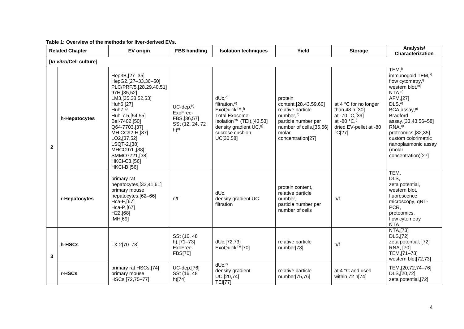| <b>Related Chapter</b> |                         | EV origin                                                                                                                                                                                                                                                                                                                 | <b>FBS handling</b>                                                           | <b>Isolation techniques</b><br>Yield                                                                                                                                                       |                                                                                                                                                                    | <b>Storage</b>                                                                                                            | Analysis/<br>Characterization                                                                                                                                                                                                                                                                                                                     |  |
|------------------------|-------------------------|---------------------------------------------------------------------------------------------------------------------------------------------------------------------------------------------------------------------------------------------------------------------------------------------------------------------------|-------------------------------------------------------------------------------|--------------------------------------------------------------------------------------------------------------------------------------------------------------------------------------------|--------------------------------------------------------------------------------------------------------------------------------------------------------------------|---------------------------------------------------------------------------------------------------------------------------|---------------------------------------------------------------------------------------------------------------------------------------------------------------------------------------------------------------------------------------------------------------------------------------------------------------------------------------------------|--|
|                        | [In vitro/Cell culture] |                                                                                                                                                                                                                                                                                                                           |                                                                               |                                                                                                                                                                                            |                                                                                                                                                                    |                                                                                                                           |                                                                                                                                                                                                                                                                                                                                                   |  |
| $\mathbf{2}$           | h-Hepatocytes           | Hep3B, [27-35]<br>HepG2,[27-33,36-50]<br>PLC/PRF/5,[28,29,40,51]<br>97H,[35,52]<br>LM3, [35, 38, 52, 53]<br>Huh6,[27]<br>Huh7, $a$ )<br>Huh-7.5,[54,55]<br>Bel-7402,[50]<br>Q64-7703,[37]<br>MH CC92-H,[37]<br>LO2, [37, 52]<br>LSQT-2,[38]<br>MHCC97L,[38]<br>SMMO7721,[38]<br><b>HKCI-C3,[56]</b><br><b>HKCI-B</b> [56] | $UC$ -dep, $^{b)}$<br>ExoFree-<br>FBS, [36, 57]<br>SSt (12, 24, 72<br>$h)$ c) | dUc, d<br>filtration, <sup>e)</sup><br>ExoQuick™. <sup>f)</sup><br><b>Total Exosome</b><br>Isolation <sup>™</sup> (TEI),[43,53]<br>density gradient UC, g)<br>sucrose cushion<br>UC[30,58] | protein<br>content, [28, 43, 59, 60]<br>relative particle<br>number, <sup>h)</sup><br>particle number per<br>number of cells,[35,56]<br>molar<br>concentration[27] | at 4 °C for no longer<br>than 48 h,[30]<br>at -70 °C,[39]<br>at -80 °C, <sup>i)</sup><br>dried EV-pellet at -80<br>°C[27] | TEM, <sup>j)</sup><br>immunogold TEM, <sup>k)</sup><br>flow cytometry, <sup>1)</sup><br>western blot. $m$ )<br>NTA <sub>n</sub><br>AFM,[27]<br>DLS <sub>0</sub><br>$BCA$ assay, $P$ )<br><b>Bradford</b><br>assay, [33, 43, 56-58]<br>RNA, q)<br>proteomics,[32,35]<br>custom colorimetric<br>nanoplasmonic assay<br>(molar<br>concentration)[27] |  |
|                        | r-Hepatocytes           | primary rat<br>hepatocytes, [32, 41, 61]<br>primary mouse<br>hepatocytes, [62-66]<br>Hca-F,[67]<br>Hca-P,[67]<br>H22, [68]<br>IMH[69]                                                                                                                                                                                     | n/f                                                                           | dUc.<br>density gradient UC<br>filtration                                                                                                                                                  | protein content.<br>relative particle<br>number,<br>particle number per<br>number of cells                                                                         | n/f                                                                                                                       | TEM,<br>DLS.<br>zeta potential,<br>western blot,<br>fluorescence<br>microscopy, qRT-<br>PCR,<br>proteomics.<br>flow cytometry<br><b>NTA</b>                                                                                                                                                                                                       |  |
| $\mathbf 3$            | h-HSCs                  | LX-2[70-73]                                                                                                                                                                                                                                                                                                               | SSt (16, 48<br>$h$ ), [71-73]<br>ExoFree-<br><b>FBS[70]</b>                   | dUc, [72, 73]<br>ExoQuick™[70]                                                                                                                                                             | relative particle<br>number[73]                                                                                                                                    | n/f                                                                                                                       | <b>NTA,[73]</b><br><b>DLS,[72]</b><br>zeta potential, [72]<br>RNA, [70]<br>TEM, [71-73]<br>western blot[72,73]                                                                                                                                                                                                                                    |  |
|                        | r-HSCs                  | primary rat HSCs,[74]<br>primary mouse<br>HSCs, [72, 75-77]                                                                                                                                                                                                                                                               | UC-dep,[76]<br>SSt (16, 48<br>h)[74]                                          | $dUc^{r}$<br>density gradient<br>UC,[20,74]<br><b>TEI[77]</b>                                                                                                                              | relative particle<br>number[75,76]                                                                                                                                 | at 4 °C and used<br>within 72 h[74]                                                                                       | TEM, [20, 72, 74-76]<br>DLS, [20, 72]<br>zeta potential,[72]                                                                                                                                                                                                                                                                                      |  |

#### **Table 1: Overview of the methods for liver-derived EVs.**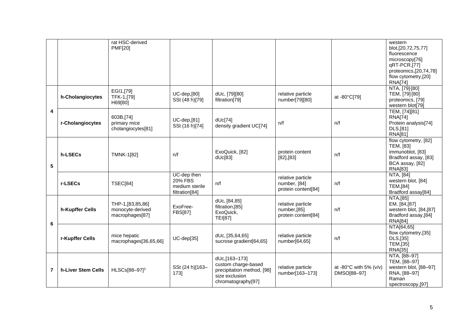|   |                    | rat HSC-derived<br><b>PMF[20]</b>                          |                                                                   |                                                                                                            |                                                          |                                                 | western<br>blot, [20, 72, 75, 77]<br>fluorescence<br>microscopy[76]<br>qRT-PCR, [77]<br>proteomics, [20, 74, 78]<br>flow cytometry,[20]<br><b>RNA[74]</b> |
|---|--------------------|------------------------------------------------------------|-------------------------------------------------------------------|------------------------------------------------------------------------------------------------------------|----------------------------------------------------------|-------------------------------------------------|-----------------------------------------------------------------------------------------------------------------------------------------------------------|
| 4 | h-Cholangiocytes   | EGI1,[79]<br>TFK-1,[79]<br>H69[80]                         | UC-dep, [80]<br>SSt (48 h)[79]                                    | dUc, [79][80]<br>filtration[79]                                                                            | relative particle<br>number[79][80]                      | at -80°C[79]                                    | NTA, [79] [80]<br>TEM, [79] [80]<br>proteomics, [79]<br>western blot[79]                                                                                  |
|   | r-Cholangiocytes   | 603B, [74]<br>primary mice<br>cholangiocytes[81]           | UC-dep, [81]<br>SSt (16 h)[74]                                    | dUc[74]<br>density gradient UC[74]                                                                         | n/f                                                      | n/f                                             | TEM, [74][81]<br><b>RNA[74]</b><br>Protein analysis[74]<br>DLS,[81]<br><b>RNA[81]</b>                                                                     |
| 5 | h-LSECs            | TMNK-1[82]                                                 | n/f                                                               | ExoQuick, [82]<br>dUc[83]                                                                                  | protein content<br>n/f<br>[82],[83]                      |                                                 | flow cytometry, [82]<br>TEM, [83]<br>immunoblot, [83]<br>Bradford assay, [83]<br>BCA assay, [82]<br><b>RNA[83]</b>                                        |
|   | r-LSECs            | TSEC[84]                                                   | UC-dep then<br><b>20% FBS</b><br>medium sterile<br>filtration[84] | n/f                                                                                                        | relative particle<br>number, [84]<br>protein content[84] | n/f                                             | NTA, [84]<br>western blot, [84]<br>TEM, [84]<br>Bradford assay[84]                                                                                        |
| 6 | h-Kupffer Cells    | THP-1, [83, 85, 86]<br>monocyte-derived<br>macrophages[87] | ExoFree-<br><b>FBS[87]</b>                                        | dUc, [84,85]<br>filtration,[85]<br>ExoQuick,<br><b>TEI[87]</b>                                             | relative particle<br>number,[85]<br>protein content[84]  | n/f                                             | NTA, [85]<br>EM, [84, [87]<br>western blot, [84,[87]<br>Bradford assay,[84]<br><b>RNA[84]</b>                                                             |
|   | r-Kupffer Cells    | mice hepatic<br>macrophages[36,65,66]                      | $UC$ -dep $[35]$                                                  | dUc, [35,64,65]<br>sucrose gradient[64,65]                                                                 | relative particle<br>number[64,65]                       | n/f                                             | NTA[64,65]<br>flow cytometry,[35]<br>DLS,[35]<br>TEM,[35]<br><b>RNA[35]</b>                                                                               |
| 7 | h-Liver Stem Cells | HLSCs[88-97] <sup>3</sup>                                  | SSt (24 h)[163-<br>173]                                           | dUc,[163-173]<br>custom charge-based<br>precipitation method, [98]<br>size exclusion<br>chromatography[97] | relative particle<br>number[163-173]                     | at -80 $\degree$ C with 5% (v/v)<br>DMSO[88-97] | NTA, [88-97]<br>TEM, [88-97]<br>western blot, [88-97]<br>RNA, [88-97]<br>Raman<br>spectroscopy,[97]                                                       |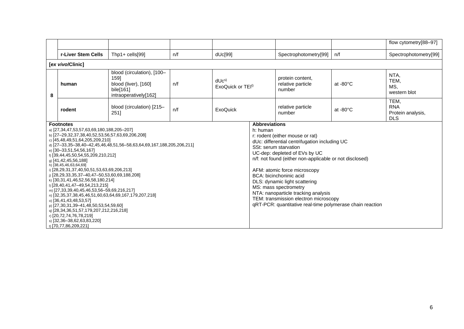|                                                                                                                                                                                                                                                                                                                                                                                                                                                                                                                                                                                                                                                                                                                                                                                                                       |                    |                                                                                                     |     |                                                                                                                                                                                                                                                                                                                                                                                                                                                                                                             |  |                                                 |                    | flow cytometry[88-97]                                 |
|-----------------------------------------------------------------------------------------------------------------------------------------------------------------------------------------------------------------------------------------------------------------------------------------------------------------------------------------------------------------------------------------------------------------------------------------------------------------------------------------------------------------------------------------------------------------------------------------------------------------------------------------------------------------------------------------------------------------------------------------------------------------------------------------------------------------------|--------------------|-----------------------------------------------------------------------------------------------------|-----|-------------------------------------------------------------------------------------------------------------------------------------------------------------------------------------------------------------------------------------------------------------------------------------------------------------------------------------------------------------------------------------------------------------------------------------------------------------------------------------------------------------|--|-------------------------------------------------|--------------------|-------------------------------------------------------|
|                                                                                                                                                                                                                                                                                                                                                                                                                                                                                                                                                                                                                                                                                                                                                                                                                       | r-Liver Stem Cells | Thp1+ cells[99]                                                                                     | n/f | dUc[99]                                                                                                                                                                                                                                                                                                                                                                                                                                                                                                     |  | Spectrophotometry[99]                           | n/f                | Spectrophotometry[99]                                 |
|                                                                                                                                                                                                                                                                                                                                                                                                                                                                                                                                                                                                                                                                                                                                                                                                                       | [ex vivo/Clinic]   |                                                                                                     |     |                                                                                                                                                                                                                                                                                                                                                                                                                                                                                                             |  |                                                 |                    |                                                       |
| 8                                                                                                                                                                                                                                                                                                                                                                                                                                                                                                                                                                                                                                                                                                                                                                                                                     | human              | blood (circulation), [100-<br>159]<br>blood (liver), [160]<br>bile $[161]$<br>intraoperatively[162] | n/f | $dUc^{s}$<br>ExoQuick or TEI <sup>t)</sup>                                                                                                                                                                                                                                                                                                                                                                                                                                                                  |  | protein content,<br>relative particle<br>number | at $-80^{\circ}$ C | NTA.<br>TEM,<br>MS.<br>western blot                   |
|                                                                                                                                                                                                                                                                                                                                                                                                                                                                                                                                                                                                                                                                                                                                                                                                                       | rodent             | blood (circulation) [215-<br>251]                                                                   | n/f | ExoQuick                                                                                                                                                                                                                                                                                                                                                                                                                                                                                                    |  | relative particle<br>number                     | at $-80^{\circ}$ C | TEM,<br><b>RNA</b><br>Protein analysis,<br><b>DLS</b> |
| <b>Footnotes</b><br>a) [27,34,47,53,57,63,69,180,188,205-207]<br>b) [27-29,32,37,38,40,52,53,56,57,63,69,206,208]<br>c) [45,48,49,51,64,205,209,210]<br>d) [27-33,35-38,40-42,45,46,48,51,56-58,63,64,69,167,188,205,206,211]<br>e) [30-33,51,54,56,167]<br>f) [39,44,45,50,54,55,209,210,212]<br>g) $[41, 42, 45, 56, 188]$<br>h) [38,45,46,63,64,69]<br>i) [28,29,31,37,40,50,51,53,63,69,206,213]<br>i) $[28,29,33,35,37-40,47-50,53,60,69,188,208]$<br>k) [30,31,41,46,52,56,58,180,214]<br>I) [28,40,41,47-49,54,213,215]<br>m) [27,33,39,40,45,46,53,56-59,69,216,217]<br>n) [32,35,37,38,45,46,51,60,63,64,69,167,179,207,218]<br>o) $[36, 41, 43, 48, 53, 57]$<br>p) [27,30,31,39-41,48,50,53,54,59,60]<br>q) [28,34,36,51,57,179,207,212,216,218]<br>r) [20,72,74,76,78,219]<br>s) $[32,36-38,62,63,83,220]$ |                    |                                                                                                     |     | <b>Abbreviations</b><br>h: human<br>r: rodent (either mouse or rat)<br>dUc: differential centrifugation including UC<br>SSt: serum starvation<br>UC-dep: depleted of EVs by UC<br>n/f: not found (either non-applicable or not disclosed)<br>AFM: atomic force microscopy<br>BCA: bicinchoninic acid<br>DLS: dynamic light scattering<br>MS: mass spectrometry<br>NTA: nanoparticle tracking analysis<br>TEM: transmission electron microscopy<br>qRT-PCR: quantitative real-time polymerase chain reaction |  |                                                 |                    |                                                       |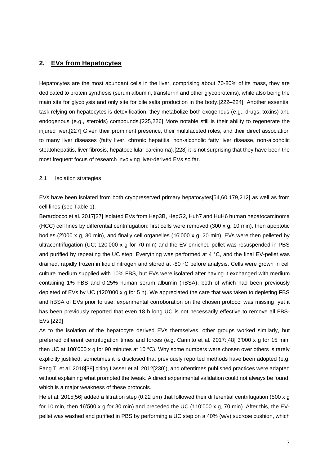# **2. EVs from Hepatocytes**

Hepatocytes are the most abundant cells in the liver, comprising about 70-80% of its mass, they are dedicated to protein synthesis (serum albumin, transferrin and other glycoproteins), while also being the main site for glycolysis and only site for bile salts production in the body.[222–224] Another essential task relying on hepatocytes is detoxification: they metabolize both exogenous (e.g., drugs, toxins) and endogenous (e.g., steroids) compounds.[225,226] More notable still is their ability to regenerate the injured liver.[227] Given their prominent presence, their multifaceted roles, and their direct association to many liver diseases (fatty liver, chronic hepatitis, non-alcoholic fatty liver disease, non-alcoholic steatohepatitis, liver fibrosis, hepatocellular carcinoma),[228] it is not surprising that they have been the most frequent focus of research involving liver-derived EVs so far.

#### 2.1 Isolation strategies

EVs have been isolated from both cryopreserved primary hepatocytes[54,60,179,212] as well as from cell lines (see Table 1).

Berardocco et al. 2017[27] isolated EVs from Hep3B, HepG2, Huh7 and HuH6 human hepatocarcinoma (HCC) cell lines by differential centrifugation: first cells were removed (300 x g, 10 min), then apoptotic bodies (2'000 x g, 30 min), and finally cell organelles (16'000 x g, 20 min). EVs were then pelleted by ultracentrifugation (UC; 120'000 x g for 70 min) and the EV-enriched pellet was resuspended in PBS and purified by repeating the UC step. Everything was performed at 4 °C, and the final EV-pellet was drained, rapidly frozen in liquid nitrogen and stored at -80 °C before analysis. Cells were grown in cell culture medium supplied with 10% FBS, but EVs were isolated after having it exchanged with medium containing 1% FBS and 0.25% human serum albumin (hBSA), both of which had been previously depleted of EVs by UC (120'000 x g for 5 h). We appreciated the care that was taken to depleting FBS and hBSA of EVs prior to use; experimental corroboration on the chosen protocol was missing, yet it has been previously reported that even 18 h long UC is not necessarily effective to remove all FBS-EVs.[229]

As to the isolation of the hepatocyte derived EVs themselves, other groups worked similarly, but preferred different centrifugation times and forces (e.g. Cannito et al. 2017:[48] 3'000 x g for 15 min, then UC at 100'000 x g for 90 minutes at 10 °C). Why some numbers were chosen over others is rarely explicitly justified: sometimes it is disclosed that previously reported methods have been adopted (e.g. Fang T. et al. 2018[38] citing Lässer et al. 2012[230]), and oftentimes published practices were adapted without explaining what prompted the tweak. A direct experimental validation could not always be found, which is a major weakness of these protocols.

He et al. 2015[56] added a filtration step (0.22 μm) that followed their differential centrifugation (500 x g for 10 min, then 16'500 x g for 30 min) and preceded the UC (110'000 x g, 70 min). After this, the EVpellet was washed and purified in PBS by performing a UC step on a 40% (w/v) sucrose cushion, which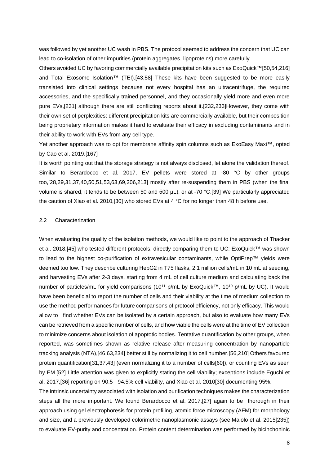was followed by yet another UC wash in PBS. The protocol seemed to address the concern that UC can lead to co-isolation of other impurities (protein aggregates, lipoproteins) more carefully.

Others avoided UC by favoring commercially available precipitation kits such as ExoQuick™[50,54,216] and Total Exosome Isolation™ (TEI).[43,58] These kits have been suggested to be more easily translated into clinical settings because not every hospital has an ultracentrifuge, the required accessories, and the specifically trained personnel, and they occasionally yield more and even more pure EVs,[231] although there are still conflicting reports about it.[232,233]However, they come with their own set of perplexities: different precipitation kits are commercially available, but their composition being proprietary information makes it hard to evaluate their efficacy in excluding contaminants and in their ability to work with EVs from any cell type.

Yet another approach was to opt for membrane affinity spin columns such as ExoEasy Maxi™, opted by Cao et al. 2019.[167]

It is worth pointing out that the storage strategy is not always disclosed, let alone the validation thereof. Similar to Berardocco et al. 2017, EV pellets were stored at -80 °C by other groups too,[28,29,31,37,40,50,51,53,63,69,206,213] mostly after re-suspending them in PBS (when the final volume is shared, it tends to be between 50 and 500 μL), or at -70 °C.[39] We particularly appreciated the caution of Xiao et al. 2010,[30] who stored EVs at 4 °C for no longer than 48 h before use.

#### 2.2 Characterization

When evaluating the quality of the isolation methods, we would like to point to the approach of Thacker et al. 2018,[45] who tested different protocols, directly comparing them to UC: ExoQuick™ was shown to lead to the highest co-purification of extravesicular contaminants, while OptiPrep™ yields were deemed too low. They describe culturing HepG2 in T75 flasks, 2.1 million cells/mL in 10 mL at seeding, and harvesting EVs after 2-3 days, starting from 4 mL of cell culture medium and calculating back the number of particles/mL for yield comparisons (10<sup>11</sup> p/mL by ExoQuick™, 10<sup>10</sup> p/mL by UC). It would have been beneficial to report the number of cells and their viability at the time of medium collection to use the method performances for future comparisons of protocol efficiency, not only efficacy. This would allow to find whether EVs can be isolated by a certain approach, but also to evaluate how many EVs can be retrieved from a specific number of cells, and how viable the cells were at the time of EV collection to minimize concerns about isolation of apoptotic bodies. Tentative quantification by other groups, when reported, was sometimes shown as relative release after measuring concentration by nanoparticle tracking analysis (NTA),[46,63,234] better still by normalizing it to cell number.[56,210] Others favoured protein quantification[31,37,43] (even normalizing it to a number of cells[60]), or counting EVs as seen by EM.[52] Little attention was given to explicitly stating the cell viability; exceptions include Eguchi et al. 2017,[36] reporting on 90.5 - 94.5% cell viability, and Xiao et al. 2010[30] documenting 95%.

The intrinsic uncertainty associated with isolation and purification techniques makes the characterization steps all the more important. We found Berardocco et al. 2017,[27] again to be thorough in their approach using gel electrophoresis for protein profiling, atomic force microscopy (AFM) for morphology and size, and a previously developed colorimetric nanoplasmonic assays (see Maiolo et al. 2015[235]) to evaluate EV-purity and concentration. Protein content determination was performed by bicinchoninic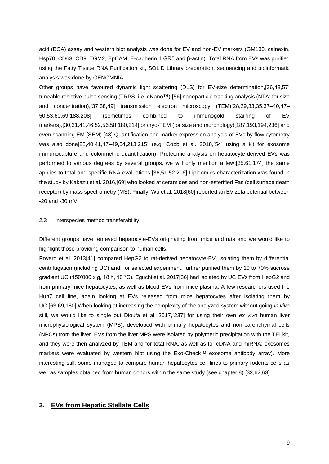acid (BCA) assay and western blot analysis was done for EV and non-EV markers (GM130, calnexin, Hsp70, CD63, CD9, TGM2, EpCAM, E-cadherin, LGR5 and β-actin). Total RNA from EVs was purified using the Fatty Tissue RNA Purification kit, SOLiD Library preparation, sequencing and bioinformatic analysis was done by GENOMNIA.

Other groups have favoured dynamic light scattering (DLS) for EV-size determination,[36,48,57] tuneable resistive pulse sensing (TRPS, i.e. qNano™),[56] nanoparticle tracking analysis (NTA; for size and concentration),[37,38,49] transmission electron microscopy (TEM)[28,29,33,35,37–40,47– 50,53,60,69,188,208] (sometimes combined to immunogold staining of EV markers),[30,31,41,46,52,56,58,180,214] or cryo-TEM (for size and morphology)[187,193,194,236] and even scanning EM (SEM).[43] Quantification and marker expression analysis of EVs by flow cytometry was also done[28,40,41,47–49,54,213,215] (e.g. Cobb et al. 2018,[54] using a kit for exosome immunocapture and colorimetric quantification). Proteomic analysis on hepatocyte-derived EVs was performed to various degrees by several groups, we will only mention a few;[35,61,174] the same applies to total and specific RNA evaluations.[36,51,52,216] Lipidomics characterization was found in the study by Kakazu et al. 2016,[69] who looked at ceramides and non-esterified Fas (cell surface death receptor) by mass spectrometry (MS). Finally, Wu et al. 2018[60] reported an EV zeta potential between -20 and -30 mV.

#### 2.3 Interspecies method transferability

Different groups have retrieved hepatocyte-EVs originating from mice and rats and we would like to highlight those providing comparison to human cells.

Povero et al. 2013[41] compared HepG2 to rat-derived hepatocyte-EV, isolating them by differential centrifugation (including UC) and, for selected experiment, further purified them by 10 to 70% sucrose gradient UC (150'000 x g, 18 h, 10 °C). Eguchi et al. 2017[36] had isolated by UC EVs from HepG2 and from primary mice hepatocytes, as well as blood-EVs from mice plasma. A few researchers used the Huh7 cell line, again looking at EVs released from mice hepatocytes after isolating them by UC.[63,69,180] When looking at increasing the complexity of the analyzed system without going *in vivo*  still, we would like to single out Dioufa et al. 2017,[237] for using their own *ex vivo* human liver microphysiological system (MPS), developed with primary hepatocytes and non-parenchymal cells (NPCs) from the liver. EVs from the liver MPS were isolated by polymeric precipitation with the TEI kit, and they were then analyzed by TEM and for total RNA, as well as for cDNA and miRNA; exosomes markers were evaluated by western blot using the Exo-Check™ exosome antibody array). More interesting still, some managed to compare human hepatocytes cell lines to primary rodents cells as well as samples obtained from human donors within the same study (see chapter 8).[32,62,63]

## **3. EVs from Hepatic Stellate Cells**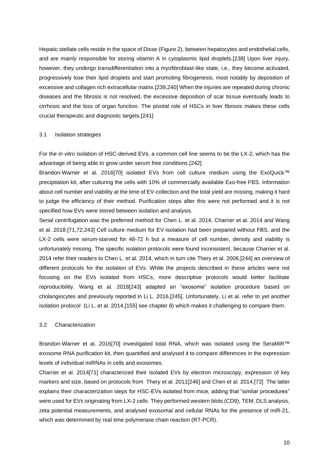Hepatic stellate cells reside in the space of Disse (Figure 2), between hepatocytes and endothelial cells, and are mainly responsible for storing vitamin A in cytoplasmic lipid droplets.[238] Upon liver injury, however, they undergo transdifferentiation into a myofibroblast-like state, i.e., they become activated, progressively lose their lipid droplets and start promoting fibrogenesis, most notably by deposition of excessive and collagen rich extracellular matrix.[239,240] When the injuries are repeated during chronic diseases and the fibrosis is not resolved, the excessive deposition of scar tissue eventually leads to cirrhosis and the loss of organ function. The pivotal role of HSCs in liver fibrosis makes these cells crucial therapeutic and diagnostic targets.[241]

#### 3.1 Isolation strategies

For the *in vitro* isolation of HSC-derived EVs, a common cell line seems to be the LX-2, which has the advantage of being able to grow under serum free conditions.[242]

Brandon-Warner et al. 2016[70] isolated EVs from cell culture medium using the ExoQuick™ precipitation kit, after culturing the cells with 10% of commercially available Exo-free FBS. Information about cell number and viability at the time of EV-collection and the total yield are missing, making it hard to judge the efficiency of their method. Purification steps after this were not performed and it is not specified how EVs were stored between isolation and analysis.

Serial centrifugation was the preferred method for Chen L. et al. 2014, Charrier et al. 2014 and Wang et al. 2018.[71,72,243] Cell culture medium for EV-isolation had been prepared without FBS, and the LX-2 cells were serum-starved for 48-72 h but a measure of cell number, density and viability is unfortunately missing. The specific isolation protocols were found inconsistent, because Charrier et al. 2014 refer their readers to Chen L. et al. 2014, which in turn cite Thery et al. 2006,[244] an overview of different protocols for the isolation of EVs. While the projects described in these articles were not focusing on the EVs isolated from HSCs, more descriptive protocols would better facilitate reproducibility. Wang et al. 2018[243] adapted an "exosome" isolation procedure based on cholangiocytes and previously reported in Li L. 2016,[245]. Unfortunately, Li et al. refer to yet another isolation protocol (Li L. et al. 2014,[155] see chapter 8) which makes it challenging to compare them.

## 3.2 Characterization

Brandon-Warner et al. 2016[70] investigated total RNA, which was isolated using the SeraMiR™ exosome RNA purification kit, then quantified and analysed it to compare differences in the expression levels of individual miRNAs in cells and exosomes.

Charrier et al. 2014[71] characterized their isolated EVs by electron microscopy, expression of key markers and size, based on protocols from Thery et al. 2011[246] and Chen et al. 2014.[72] The latter explains their characterization steps for HSC-EVs isolated from mice, adding that "similar procedures" were used for EVs originating from LX-2 cells. They performed western blots (CD9), TEM, DLS analysis, zeta potential measurements, and analysed exosomal and cellular RNAs for the presence of miR-21, which was determined by real time polymerase chain reaction (RT-PCR).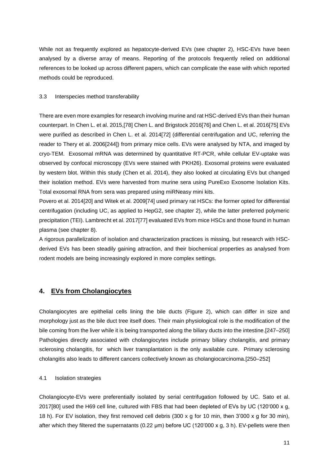While not as frequently explored as hepatocyte-derived EVs (see chapter 2), HSC-EVs have been analysed by a diverse array of means. Reporting of the protocols frequently relied on additional references to be looked up across different papers, which can complicate the ease with which reported methods could be reproduced.

#### 3.3 Interspecies method transferability

There are even more examples for research involving murine and rat HSC-derived EVs than their human counterpart. In Chen L. et al. 2015,[78] Chen L. and Brigstock 2016[76] and Chen L. et al. 2016[75] EVs were purified as described in Chen L. et al. 2014[72] (differential centrifugation and UC, referring the reader to Thery et al. 2006[244]) from primary mice cells. EVs were analysed by NTA, and imaged by cryo-TEM. Exosomal mRNA was determined by quantitative RT-PCR, while cellular EV-uptake was observed by confocal microscopy (EVs were stained with PKH26). Exosomal proteins were evaluated by western blot. Within this study (Chen et al. 2014), they also looked at circulating EVs but changed their isolation method. EVs were harvested from murine sera using PureExo Exosome Isolation Kits. Total exosomal RNA from sera was prepared using miRNeasy mini kits.

Povero et al. 2014[20] and Witek et al. 2009[74] used primary rat HSCs: the former opted for differential centrifugation (including UC, as applied to HepG2, see chapter 2), while the latter preferred polymeric precipitation (TEI). Lambrecht et al. 2017[77] evaluated EVs from mice HSCs and those found in human plasma (see chapter 8).

A rigorous parallelization of isolation and characterization practices is missing, but research with HSCderived EVs has been steadily gaining attraction, and their biochemical properties as analysed from rodent models are being increasingly explored in more complex settings.

# **4. EVs from Cholangiocytes**

Cholangiocytes are epithelial cells lining the bile ducts (Figure 2), which can differ in size and morphology just as the bile duct tree itself does. Their main physiological role is the modification of the bile coming from the liver while it is being transported along the biliary ducts into the intestine.[247–250] Pathologies directly associated with cholangiocytes include primary biliary cholangitis, and primary sclerosing cholangitis, for which liver transplantation is the only available cure. Primary sclerosing cholangitis also leads to different cancers collectively known as cholangiocarcinoma.[250–252]

## 4.1 Isolation strategies

Cholangiocyte-EVs were preferentially isolated by serial centrifugation followed by UC. Sato et al. 2017[80] used the H69 cell line, cultured with FBS that had been depleted of EVs by UC (120'000 x g, 18 h). For EV isolation, they first removed cell debris (300 x g for 10 min, then 3'000 x g for 30 min), after which they filtered the supernatants (0.22 μm) before UC (120'000 x g, 3 h). EV-pellets were then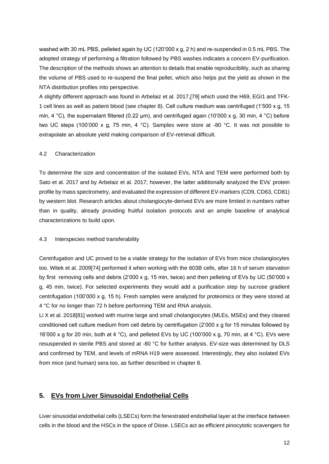washed with 30 mL PBS, pelleted again by UC (120'000 x g, 2 h) and re-suspended in 0.5 mL PBS. The adopted strategy of performing a filtration followed by PBS washes indicates a concern EV-purification. The description of the methods shows an attention to details that enable reproducibility, such as sharing the volume of PBS used to re-suspend the final pellet, which also helps put the yield as shown in the NTA distribution profiles into perspective.

A slightly different approach was found in Arbelaiz et al. 2017,[79] which used the H69, EGI1 and TFK-1 cell lines as well as patient blood (see chapter 8). Cell culture medium was centrifuged (1'500 x g, 15 min, 4 °C), the supernatant filtered (0.22  $\mu$ m), and centrifuged again (10'000 x g, 30 min, 4 °C) before two UC steps (100'000 x g, 75 min, 4 °C). Samples were store at -80 °C. It was not possible to extrapolate an absolute yield making comparison of EV-retrieval difficult.

#### 4.2 Characterization

To determine the size and concentration of the isolated EVs, NTA and TEM were performed both by Sato et al. 2017 and by Arbelaiz et al. 2017; however, the latter additionally analyzed the EVs' protein profile by mass spectrometry, and evaluated the expression of different EV-markers (CD9, CD63, CD81) by western blot. Research articles about cholangiocyte-derived EVs are more limited in numbers rather than in quality, already providing fruitful isolation protocols and an ample baseline of analytical characterizations to build upon.

#### 4.3 Interspecies method transferability

Centrifugation and UC proved to be a viable strategy for the isolation of EVs from mice cholangiocytes too. Witek et al. 2009[74] performed it when working with the 603B cells, after 16 h of serum starvation by first removing cells and debris (2'000 x g, 15 min, twice) and then pelleting of EVs by UC (50'000 x g, 45 min, twice). For selected experiments they would add a purification step by sucrose gradient centrifugation (100'000 x g, 15 h). Fresh samples were analyzed for proteomics or they were stored at 4 °C for no longer than 72 h before performing TEM and RNA analysis.

Li X et al. 2018[81] worked with murine large and small cholangiocytes (MLEs, MSEs) and they cleared conditioned cell culture medium from cell debris by centrifugation (2'000 x g for 15 minutes followed by 16'000 x g for 20 min, both at 4 °C), and pelleted EVs by UC (100'000 x g, 70 min, at 4 °C). EVs were resuspended in sterile PBS and stored at -80 °C for further analysis. EV-size was determined by DLS and confirmed by TEM, and levels of mRNA H19 were assessed. Interestingly, they also isolated EVs from mice (and human) sera too, as further described in chapter 8.

# **5. EVs from Liver Sinusoidal Endothelial Cells**

Liver sinusoidal endothelial cells (LSECs) form the fenestrated endothelial layer at the interface between cells in the blood and the HSCs in the space of Disse. LSECs act as efficient pinocytotic scavengers for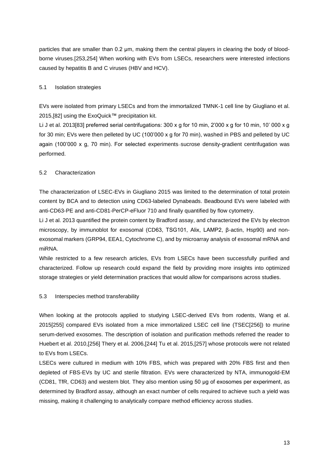particles that are smaller than 0.2 μm, making them the central players in clearing the body of bloodborne viruses.[253,254] When working with EVs from LSECs, researchers were interested infections caused by hepatitis B and C viruses (HBV and HCV).

## 5.1 Isolation strategies

EVs were isolated from primary LSECs and from the immortalized TMNK-1 cell line by Giugliano et al. 2015,[82] using the ExoQuick™ precipitation kit.

Li J et al. 2013[83] preferred serial centrifugations: 300 x g for 10 min, 2'000 x g for 10 min, 10' 000 x g for 30 min; EVs were then pelleted by UC (100'000 x g for 70 min), washed in PBS and pelleted by UC again (100'000 x g, 70 min). For selected experiments-sucrose density-gradient centrifugation was performed.

# 5.2 Characterization

The characterization of LSEC-EVs in Giugliano 2015 was limited to the determination of total protein content by BCA and to detection using CD63-labeled Dynabeads. Beadbound EVs were labeled with anti-CD63-PE and anti-CD81-PerCP-eFluor 710 and finally quantified by flow cytometry.

Li J et al. 2013 quantified the protein content by Bradford assay, and characterized the EVs by electron microscopy, by immunoblot for exosomal (CD63, TSG101, Alix, LAMP2, β-actin, Hsp90) and nonexosomal markers (GRP94, EEA1, Cytochrome C), and by microarray analysis of exosomal mRNA and miRNA.

While restricted to a few research articles, EVs from LSECs have been successfully purified and characterized. Follow up research could expand the field by providing more insights into optimized storage strategies or yield determination practices that would allow for comparisons across studies.

## 5.3 Interspecies method transferability

When looking at the protocols applied to studying LSEC-derived EVs from rodents, Wang et al. 2015[255] compared EVs isolated from a mice immortalized LSEC cell line (TSEC[256]) to murine serum-derived exosomes. The description of isolation and purification methods referred the reader to Huebert et al. 2010,[256] Thery et al. 2006,[244] Tu et al. 2015,[257] whose protocols were not related to EVs from LSECs.

LSECs were cultured in medium with 10% FBS, which was prepared with 20% FBS first and then depleted of FBS-EVs by UC and sterile filtration. EVs were characterized by NTA, immunogold-EM (CD81, TfR, CD63) and western blot. They also mention using 50 μg of exosomes per experiment, as determined by Bradford assay, although an exact number of cells required to achieve such a yield was missing, making it challenging to analytically compare method efficiency across studies.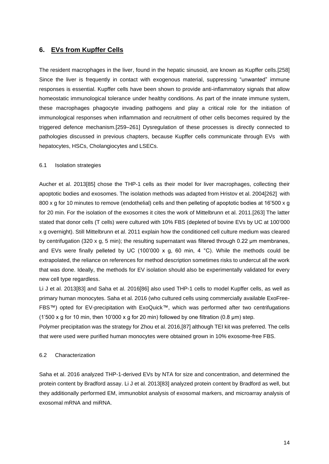# **6. EVs from Kupffer Cells**

The resident macrophages in the liver, found in the hepatic sinusoid, are known as Kupffer cells.[258] Since the liver is frequently in contact with exogenous material, suppressing "unwanted" immune responses is essential. Kupffer cells have been shown to provide anti-inflammatory signals that allow homeostatic immunological tolerance under healthy conditions. As part of the innate immune system, these macrophages phagocyte invading pathogens and play a critical role for the initiation of immunological responses when inflammation and recruitment of other cells becomes required by the triggered defence mechanism.[259–261] Dysregulation of these processes is directly connected to pathologies discussed in previous chapters, because Kupffer cells communicate through EVs with hepatocytes, HSCs, Cholangiocytes and LSECs.

#### 6.1 Isolation strategies

Aucher et al. 2013[85] chose the THP-1 cells as their model for liver macrophages, collecting their apoptotic bodies and exosomes. The isolation methods was adapted from Hristov et al. 2004[262] with 800 x g for 10 minutes to remove (endothelial) cells and then pelleting of apoptotic bodies at 16'500 x g for 20 min. For the isolation of the exosomes it cites the work of Mittelbrunn et al. 2011.[263] The latter stated that donor cells (T cells) were cultured with 10% FBS (depleted of bovine EVs by UC at 100'000 x g overnight). Still Mittelbrunn et al. 2011 explain how the conditioned cell culture medium was cleared by centrifugation (320 x g, 5 min); the resulting supernatant was filtered through 0.22 μm membranes, and EVs were finally pelleted by UC (100'000 x q, 60 min, 4  $^{\circ}$ C). While the methods could be extrapolated, the reliance on references for method description sometimes risks to undercut all the work that was done. Ideally, the methods for EV isolation should also be experimentally validated for every new cell type regardless.

Li J et al. 2013[83] and Saha et al. 2016[86] also used THP-1 cells to model Kupffer cells, as well as primary human monocytes. Saha et al. 2016 (who cultured cells using commercially available ExoFree-FBS™) opted for EV-precipitation with ExoQuick™, which was performed after two centrifugations  $(1'500 \times q$  for 10 min, then 10'000 x g for 20 min) followed by one filtration  $(0.8 \mu m)$  step.

Polymer precipitation was the strategy for Zhou et al. 2016,[87] although TEI kit was preferred. The cells that were used were purified human monocytes were obtained grown in 10% exosome-free FBS.

#### 6.2 Characterization

Saha et al. 2016 analyzed THP-1-derived EVs by NTA for size and concentration, and determined the protein content by Bradford assay. Li J et al. 2013[83] analyzed protein content by Bradford as well, but they additionally performed EM, immunoblot analysis of exosomal markers, and microarray analysis of exosomal mRNA and miRNA.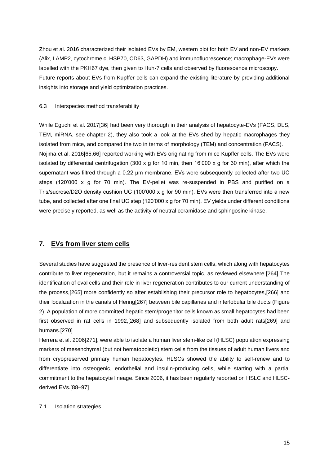Zhou et al. 2016 characterized their isolated EVs by EM, western blot for both EV and non-EV markers (Alix, LAMP2, cytochrome c, HSP70, CD63, GAPDH) and immunofluorescence; macrophage-EVs were labelled with the PKH67 dye, then given to Huh-7 cells and observed by fluorescence microscopy. Future reports about EVs from Kupffer cells can expand the existing literature by providing additional insights into storage and yield optimization practices.

#### 6.3 Interspecies method transferability

While Eguchi et al. 2017[36] had been very thorough in their analysis of hepatocyte-EVs (FACS, DLS, TEM, miRNA, see chapter 2), they also took a look at the EVs shed by hepatic macrophages they isolated from mice, and compared the two in terms of morphology (TEM) and concentration (FACS). Nojima et al. 2016[65,66] reported working with EVs originating from mice Kupffer cells. The EVs were isolated by differential centrifugation (300 x g for 10 min, then 16'000 x g for 30 min), after which the supernatant was filtred through a 0.22 μm membrane. EVs were subsequently collected after two UC steps (120'000 x g for 70 min). The EV-pellet was re-suspended in PBS and purified on a Tris/sucrose/D2O density cushion UC (100'000 x g for 90 min). EVs were then transferred into a new tube, and collected after one final UC step (120'000 x g for 70 min). EV yields under different conditions were precisely reported, as well as the activity of neutral ceramidase and sphingosine kinase.

# **7. EVs from liver stem cells**

Several studies have suggested the presence of liver-resident stem cells, which along with hepatocytes contribute to liver regeneration, but it remains a controversial topic, as reviewed elsewhere.[264] The identification of oval cells and their role in liver regeneration contributes to our current understanding of the process,[265] more confidently so after establishing their precursor role to hepatocytes,[266] and their localization in the canals of Hering[267] between bile capillaries and interlobular bile ducts (Figure 2). A population of more committed hepatic stem/progenitor cells known as small hepatocytes had been first observed in rat cells in 1992,[268] and subsequently isolated from both adult rats[269] and humans.[270]

Herrera et al. 2006[271], were able to isolate a human liver stem-like cell (HLSC) population expressing markers of mesenchymal (but not hematopoietic) stem cells from the tissues of adult human livers and from cryopreserved primary human hepatocytes. HLSCs showed the ability to self-renew and to differentiate into osteogenic, endothelial and insulin-producing cells, while starting with a partial commitment to the hepatocyte lineage. Since 2006, it has been regularly reported on HSLC and HLSCderived EVs.[88–97]

## 7.1 Isolation strategies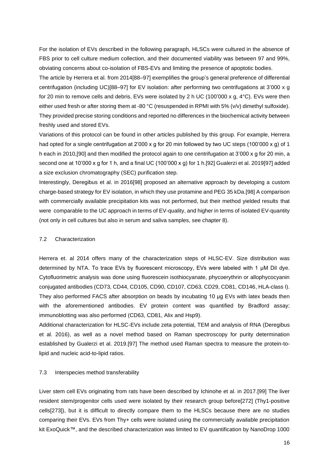For the isolation of EVs described in the following paragraph, HLSCs were cultured in the absence of FBS prior to cell culture medium collection, and their documented viability was between 97 and 99%, obviating concerns about co-isolation of FBS-EVs and limiting the presence of apoptotic bodies.

The article by Herrera et al. from 2014[88–97] exemplifies the group's general preference of differential centrifugation (including UC)[88–97] for EV isolation: after performing two centrifugations at 3'000 x g for 20 min to remove cells and debris, EVs were isolated by 2 h UC (100'000 x g, 4°C). EVs were then either used fresh or after storing them at -80 °C (resuspended in RPMI with 5% (v/v) dimethyl sulfoxide). They provided precise storing conditions and reported no differences in the biochemical activity between freshly used and stored EVs.

Variations of this protocol can be found in other articles published by this group. For example, Herrera had opted for a single centrifugation at 2'000 x g for 20 min followed by two UC steps (100'000 x g) of 1 h each in 2010,[90] and then modified the protocol again to one centrifugation at 3'000 x g for 20 min, a second one at 10'000 x g for 1 h, and a final UC (100'000 x g) for 1 h.[92] Gualerzi et al. 2019[97] added a size exclusion chromatography (SEC) purification step.

Interestingly, Deregibus et al. in 2016[98] proposed an alternative approach by developing a custom charge-based strategy for EV isolation, in which they use protamine and PEG 35 kDa.[98] A comparison with commercially available precipitation kits was not performed, but their method yielded results that were comparable to the UC approach in terms of EV-quality, and higher in terms of isolated EV-quantity (not only in cell cultures but also in serum and saliva samples, see chapter 8).

#### 7.2 Characterization

Herrera et. al 2014 offers many of the characterization steps of HLSC-EV. Size distribution was determined by NTA. To trace EVs by fluorescent microscopy, EVs were labeled with 1 μM Dil dye. Cytofluorimetric analysis was done using fluorescein isothiocyanate, phycoerythrin or allophycocyanin conjugated antibodies (CD73, CD44, CD105, CD90, CD107, CD63, CD29, CD81, CD146, HLA-class I). They also performed FACS after absorption on beads by incubating 10 μg EVs with latex beads then with the aforementioned antibodies. EV protein content was quantified by Bradford assay; immunoblotting was also performed (CD63, CD81, Alix and Hsp9).

Additional characterization for HLSC-EVs include zeta potential, TEM and analysis of RNA (Deregibus et al. 2016), as well as a novel method based on Raman spectroscopy for purity determination established by Gualerzi et al. 2019.[97] The method used Raman spectra to measure the protein-tolipid and nucleic acid-to-lipid ratios.

#### 7.3 Interspecies method transferability

Liver stem cell EVs originating from rats have been described by Ichinohe et al. in 2017.[99] The liver resident stem/progenitor cells used were isolated by their research group before[272] (Thy1-positive cells[273]), but it is difficult to directly compare them to the HLSCs because there are no studies comparing their EVs. EVs from Thy+ cells were isolated using the commercially available precipitation kit ExoQuick™, and the described characterization was limited to EV quantification by NanoDrop 1000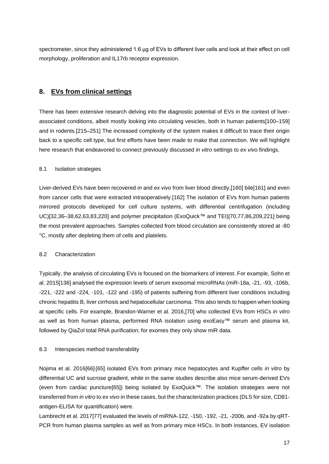spectrometer, since they administered 1.6 μg of EVs to different liver cells and look at their effect on cell morphology, proliferation and IL17rb receptor expression.

# **8. EVs from clinical settings**

There has been extensive research delving into the diagnostic potential of EVs in the context of liverassociated conditions, albeit mostly looking into circulating vesicles, both in human patients[100–159] and in rodents.[215–251] The increased complexity of the system makes it difficult to trace their origin back to a specific cell type, but first efforts have been made to make that connection. We will highlight here research that endeavored to connect previously discussed *in vitro* settings to *ex vivo* findings.

# 8.1 Isolation strategies

Liver-derived EVs have been recovered *in* and *ex vivo* from liver blood directly,[160] bile[161] and even from cancer cells that were extracted intraoperatively.[162] The isolation of EVs from human patients mirrored protocols developed for cell culture systems, with differential centrifugation (including UC)[32,36–38,62,63,83,220] and polymer precipitation (ExoQuick™ and TEI)[70,77,86,209,221] being the most prevalent approaches. Samples collected from blood circulation are consistently stored at -80 °C, mostly after depleting them of cells and platelets.

# 8.2 Characterization

Typically, the analysis of circulating EVs is focused on the biomarkers of interest. For example, Sohn et al. 2015[136] analysed the expression levels of serum exosomal microRNAs (miR-18a, -21, -93, -106b, -221, -222 and -224, -101, -122 and -195) of patients suffering from different liver conditions including chronic hepatitis B, liver cirrhosis and hepatocellular carcinoma. This also tends to happen when looking at specific cells. For example, Brandon-Warner et al. 2016,[70] who collected EVs from HSCs *in vitro* as well as from human plasma, performed RNA isolation using exoEasy™ serum and plasma kit, followed by QiaZol total RNA purification; for exomes they only show miR data.

# 8.3 Interspecies method transferability

Nojima et al. 2016[66]·[65] isolated EVs from primary mice hepatocytes and Kupffer cells *in vitro* by differential UC and sucrose gradient, while in the same studies describe also mice serum-derived EVs (even from cardiac puncture[65]) being isolated by ExoQuick™. The isolation strategies were not transferred from *in vitro* to *ex vivo* in these cases, but the characterization practices (DLS for size, CD81 antigen-ELISA for quantification) were.

Lambrecht et al. 2017[77] evaluated the levels of miRNA-122, -150, -192, -21, -200b, and -92a by qRT-PCR from human plasma samples as well as from primary mice HSCs. In both instances, EV isolation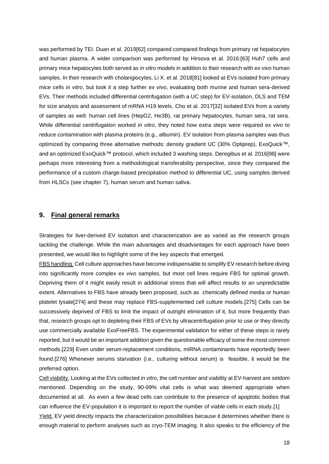was performed by TEI. Duan et al. 2019[62] compared compared findings from primary rat hepatocytes and human plasma. A wider comparison was performed by Hirsova et al. 2016:[63] Huh7 cells and primary mice hepatocytes both served as *in vitro* models in addition to their research with *ex vivo* human samples. In their research with cholangiocytes, Li X. et al. 2018[81] looked at EVs isolated from primary mice cells *in vitro*, but took it a step further *ex vivo*, evaluating both murine and human sera-derived EVs. Their methods included differential centrifugation (with a UC step) for EV-isolation, DLS and TEM for size analysis and assessment of mRNA H19 levels. Cho et al. 2017[32] isolated EVs from a variety of samples as well: human cell lines (HepG2, He3B), rat primary hepatocytes, human sera, rat sera. While differential centrifugation worked *in vitro*, they noted how extra steps were required *ex vivo* to reduce contamination with plasma proteins (e.g., albumin). EV isolation from plasma samples was thus optimized by comparing three alternative methods: density gradient UC (30% Optiprep), ExoQuick™, and an optimized ExoQuick™ protocol, which included 3 washing steps. Deregibus et al. 2016[98] were perhaps more interesting from a methodological transferability perspective, since they compared the performance of a custom charge-based precipitation method to differential UC, using samples derived from HLSCs (see chapter 7), human serum and human saliva.

# **9. Final general remarks**

Strategies for liver-derived EV isolation and characterization are as varied as the research groups tackling the challenge. While the main advantages and disadvantages for each approach have been presented, we would like to highlight some of the key aspects that emerged.

FBS handling. Cell culture approaches have become indispensable to simplify EV research before diving into significantly more complex *ex vivo* samples, but most cell lines require FBS for optimal growth. Depriving them of it might easily result in additional stress that will affect results to an unpredictable extent. Alternatives to FBS have already been proposed, such as chemically defined media or human platelet lysate[274] and these may replace FBS-supplemented cell culture models.[275] Cells can be successively deprived of FBS to limit the impact of outright elimination of it, but more frequently than that, research groups opt to depleting their FBS of EVs by ultracentrifugation prior to use or they directly use commercially available ExoFreeFBS. The experimental validation for either of these steps is rarely reported, but it would be an important addition given the questionable efficacy of some the most common methods.[229] Even under serum-replacement conditions, miRNA contaminants have reportedly been found.[276] Whenever serums starvation (i.e., culturing without serum) is feasible, it would be the preferred option.

Cell viability. Looking at the EVs collected *in vitro*, the cell number and viability at EV-harvest are seldom mentioned. Depending on the study, 90-99% vital cells is what was deemed appropriate when documented at all. As even a few dead cells can contribute to the presence of apoptotic bodies that can influence the EV-population it is important to report the number of viable cells in each study.[1]

Yield. EV yield directly impacts the characterization possibilities because it determines whether there is enough material to perform analyses such as cryo-TEM imaging. It also speaks to the efficiency of the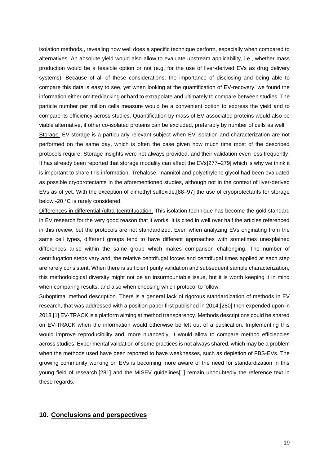isolation methods., revealing how well does a specific technique perform, especially when compared to alternatives. An absolute yield would also allow to evaluate upstream applicability, i.e., whether mass production would be a feasible option or not (e.g. for the use of liver-derived EVs as drug delivery systems). Because of all of these considerations, the importance of disclosing and being able to compare this data is easy to see, yet when looking at the quantification of EV-recovery, we found the information either omitted/lacking or hard to extrapolate and ultimately to compare between studies. The particle number per million cells measure would be a convenient option to express the yield and to compare its efficiency across studies. Quantification by mass of EV-associated proteins would also be viable alternative, if other co-isolated proteins can be excluded, preferably by number of cells as well.

Storage. EV storage is a particularly relevant subject when EV isolation and characterization are not performed on the same day, which is often the case given how much time most of the described protocols require. Storage insights were not always provided, and their validation even less frequently. It has already been reported that storage modality can affect the EVs[277–279] which is why we think it is important to share this information. Trehalose, mannitol and polyethylene glycol had been evaluated as possible cryoprotectants in the aforementioned studies, although not in the context of liver-derived EVs as of yet. With the exception of dimethyl sulfoxide,[88–97] the use of cryoprotectants for storage below -20 °C is rarely considered.

Differences in differential (ultra-)centrifugation. This isolation technique has become the gold standard in EV research for the very good reason that it works. It is cited in well over half the articles referenced in this review, but the protocols are not standardized. Even when analyzing EVs originating from the same cell types, different groups tend to have different approaches with sometimes unexplained differences arise within the same group which makes comparison challenging. The number of centrifugation steps vary and, the relative centrifugal forces and centrifugal times applied at each step are rarely consistent. When there is sufficient purity validation and subsequent sample characterization, this methodological diversity might not be an insurmountable issue, but it is worth keeping it in mind when comparing results, and also when choosing which protocol to follow.

Suboptimal method description. There is a general lack of rigorous standardization of methods in EV research, that was addressed with a position paper first published in 2014,[280] then expended upon in 2018.[1] EV-TRACK is a platform aiming at method transparency. Methods descriptions could be shared on EV-TRACK when the information would otherwise be left out of a publication. Implementing this would improve reproducibility and, more nuancedly, it would allow to compare method efficiencies across studies. Experimental validation of some practices is not always shared, which may be a problem when the methods used have been reported to have weaknesses, such as depletion of FBS-EVs. The growing community working on EVs is becoming more aware of the need for standardization in this young field of research,[281] and the MISEV guidelines[1] remain undoubtedly the reference text in these regards.

# **10. Conclusions and perspectives**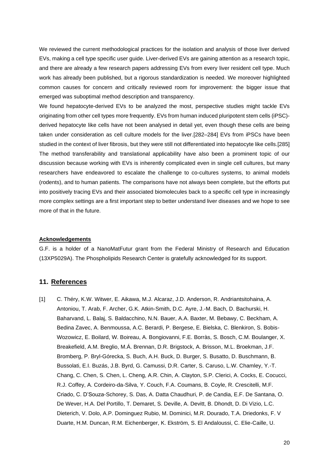We reviewed the current methodological practices for the isolation and analysis of those liver derived EVs, making a cell type specific user guide. Liver-derived EVs are gaining attention as a research topic, and there are already a few research papers addressing EVs from every liver resident cell type. Much work has already been published, but a rigorous standardization is needed. We moreover highlighted common causes for concern and critically reviewed room for improvement: the bigger issue that emerged was suboptimal method description and transparency.

We found hepatocyte-derived EVs to be analyzed the most, perspective studies might tackle EVs originating from other cell types more frequently. EVs from human induced pluripotent stem cells (iPSC) derived hepatocyte like cells have not been analysed in detail yet, even though these cells are being taken under consideration as cell culture models for the liver.[282–284] EVs from iPSCs have been studied in the context of liver fibrosis, but they were still not differentiated into hepatocyte like cells.[285] The method transferability and translational applicability have also been a prominent topic of our discussion because working with EVs is inherently complicated even in single cell cultures, but many researchers have endeavored to escalate the challenge to co-cultures systems, to animal models (rodents), and to human patients. The comparisons have not always been complete, but the efforts put into positively tracing EVs and their associated biomolecules back to a specific cell type in increasingly more complex settings are a first important step to better understand liver diseases and we hope to see more of that in the future.

#### **Acknowledgements**

G.F. is a holder of a NanoMatFutur grant from the Federal Ministry of Research and Education (13XP5029A). The Phospholipids Research Center is gratefully acknowledged for its support.

# **11. References**

[1] C. Théry, K.W. Witwer, E. Aikawa, M.J. Alcaraz, J.D. Anderson, R. Andriantsitohaina, A. Antoniou, T. Arab, F. Archer, G.K. Atkin-Smith, D.C. Ayre, J.-M. Bach, D. Bachurski, H. Baharvand, L. Balaj, S. Baldacchino, N.N. Bauer, A.A. Baxter, M. Bebawy, C. Beckham, A. Bedina Zavec, A. Benmoussa, A.C. Berardi, P. Bergese, E. Bielska, C. Blenkiron, S. Bobis-Wozowicz, E. Boilard, W. Boireau, A. Bongiovanni, F.E. Borràs, S. Bosch, C.M. Boulanger, X. Breakefield, A.M. Breglio, M.Á. Brennan, D.R. Brigstock, A. Brisson, M.L. Broekman, J.F. Bromberg, P. Bryl-Górecka, S. Buch, A.H. Buck, D. Burger, S. Busatto, D. Buschmann, B. Bussolati, E.I. Buzás, J.B. Byrd, G. Camussi, D.R. Carter, S. Caruso, L.W. Chamley, Y.-T. Chang, C. Chen, S. Chen, L. Cheng, A.R. Chin, A. Clayton, S.P. Clerici, A. Cocks, E. Cocucci, R.J. Coffey, A. Cordeiro-da-Silva, Y. Couch, F.A. Coumans, B. Coyle, R. Crescitelli, M.F. Criado, C. D'Souza-Schorey, S. Das, A. Datta Chaudhuri, P. de Candia, E.F. De Santana, O. De Wever, H.A. Del Portillo, T. Demaret, S. Deville, A. Devitt, B. Dhondt, D. Di Vizio, L.C. Dieterich, V. Dolo, A.P. Dominguez Rubio, M. Dominici, M.R. Dourado, T.A. Driedonks, F. V Duarte, H.M. Duncan, R.M. Eichenberger, K. Ekström, S. El Andaloussi, C. Elie-Caille, U.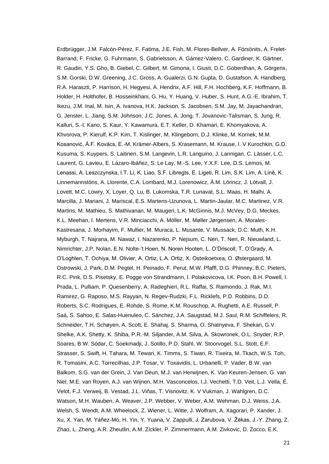Erdbrügger, J.M. Falcón-Pérez, F. Fatima, J.E. Fish, M. Flores-Bellver, A. Försönits, A. Frelet-Barrand, F. Fricke, G. Fuhrmann, S. Gabrielsson, A. Gámez-Valero, C. Gardiner, K. Gärtner, R. Gaudin, Y.S. Gho, B. Giebel, C. Gilbert, M. Gimona, I. Giusti, D.C. Goberdhan, A. Görgens, S.M. Gorski, D.W. Greening, J.C. Gross, A. Gualerzi, G.N. Gupta, D. Gustafson, A. Handberg, R.A. Haraszti, P. Harrison, H. Hegyesi, A. Hendrix, A.F. Hill, F.H. Hochberg, K.F. Hoffmann, B. Holder, H. Holthofer, B. Hosseinkhani, G. Hu, Y. Huang, V. Huber, S. Hunt, A.G.-E. Ibrahim, T. Ikezu, J.M. Inal, M. Isin, A. Ivanova, H.K. Jackson, S. Jacobsen, S.M. Jay, M. Jayachandran, G. Jenster, L. Jiang, S.M. Johnson, J.C. Jones, A. Jong, T. Jovanovic-Talisman, S. Jung, R. Kalluri, S.-I. Kano, S. Kaur, Y. Kawamura, E.T. Keller, D. Khamari, E. Khomyakova, A. Khvorova, P. Kierulf, K.P. Kim, T. Kislinger, M. Klingeborn, D.J. Klinke, M. Kornek, M.M. Kosanović, Á.F. Kovács, E.-M. Krämer-Albers, S. Krasemann, M. Krause, I. V Kurochkin, G.D. Kusuma, S. Kuypers, S. Laitinen, S.M. Langevin, L.R. Languino, J. Lannigan, C. Lässer, L.C. Laurent, G. Lavieu, E. Lázaro-Ibáñez, S. Le Lay, M.-S. Lee, Y.X.F. Lee, D.S. Lemos, M. Lenassi, A. Leszczynska, I.T. Li, K. Liao, S.F. Libregts, E. Ligeti, R. Lim, S.K. Lim, A. Linē, K. Linnemannstöns, A. Llorente, C.A. Lombard, M.J. Lorenowicz, Á.M. Lörincz, J. Lötvall, J. Lovett, M.C. Lowry, X. Loyer, Q. Lu, B. Lukomska, T.R. Lunavat, S.L. Maas, H. Malhi, A. Marcilla, J. Mariani, J. Mariscal, E.S. Martens-Uzunova, L. Martin-Jaular, M.C. Martinez, V.R. Martins, M. Mathieu, S. Mathivanan, M. Maugeri, L.K. McGinnis, M.J. McVey, D.G. Meckes, K.L. Meehan, I. Mertens, V.R. Minciacchi, A. Möller, M. Møller Jørgensen, A. Morales-Kastresana, J. Morhayim, F. Mullier, M. Muraca, L. Musante, V. Mussack, D.C. Muth, K.H. Myburgh, T. Najrana, M. Nawaz, I. Nazarenko, P. Nejsum, C. Neri, T. Neri, R. Nieuwland, L. Nimrichter, J.P. Nolan, E.N. Nolte-'t Hoen, N. Noren Hooten, L. O'Driscoll, T. O'Grady, A. O'Loghlen, T. Ochiya, M. Olivier, A. Ortiz, L.A. Ortiz, X. Osteikoetxea, O. Østergaard, M. Ostrowski, J. Park, D.M. Pegtel, H. Peinado, F. Perut, M.W. Pfaffl, D.G. Phinney, B.C. Pieters, R.C. Pink, D.S. Pisetsky, E. Pogge von Strandmann, I. Polakovicova, I.K. Poon, B.H. Powell, I. Prada, L. Pulliam, P. Quesenberry, A. Radeghieri, R.L. Raffai, S. Raimondo, J. Rak, M.I. Ramirez, G. Raposo, M.S. Rayyan, N. Regev-Rudzki, F.L. Ricklefs, P.D. Robbins, D.D. Roberts, S.C. Rodrigues, E. Rohde, S. Rome, K.M. Rouschop, A. Rughetti, A.E. Russell, P. Saá, S. Sahoo, E. Salas-Huenuleo, C. Sánchez, J.A. Saugstad, M.J. Saul, R.M. Schiffelers, R. Schneider, T.H. Schøyen, A. Scott, E. Shahaj, S. Sharma, O. Shatnyeva, F. Shekari, G.V. Shelke, A.K. Shetty, K. Shiba, P.R.-M. Siljander, A.M. Silva, A. Skowronek, O.L. Snyder, R.P. Soares, B.W. Sódar, C. Soekmadji, J. Sotillo, P.D. Stahl, W. Stoorvogel, S.L. Stott, E.F. Strasser, S. Swift, H. Tahara, M. Tewari, K. Timms, S. Tiwari, R. Tixeira, M. Tkach, W.S. Toh, R. Tomasini, A.C. Torrecilhas, J.P. Tosar, V. Toxavidis, L. Urbanelli, P. Vader, B.W. van Balkom, S.G. van der Grein, J. Van Deun, M.J. van Herwijnen, K. Van Keuren-Jensen, G. van Niel, M.E. van Royen, A.J. van Wijnen, M.H. Vasconcelos, I.J. Vechetti, T.D. Veit, L.J. Vella, É. Velot, F.J. Verweij, B. Vestad, J.L. Viñas, T. Visnovitz, K. V Vukman, J. Wahlgren, D.C. Watson, M.H. Wauben, A. Weaver, J.P. Webber, V. Weber, A.M. Wehman, D.J. Weiss, J.A. Welsh, S. Wendt, A.M. Wheelock, Z. Wiener, L. Witte, J. Wolfram, A. Xagorari, P. Xander, J. Xu, X. Yan, M. Yáñez-Mó, H. Yin, Y. Yuana, V. Zappulli, J. Zarubova, V. Žėkas, J.-Y. Zhang, Z. Zhao, L. Zheng, A.R. Zheutlin, A.M. Zickler, P. Zimmermann, A.M. Zivkovic, D. Zocco, E.K.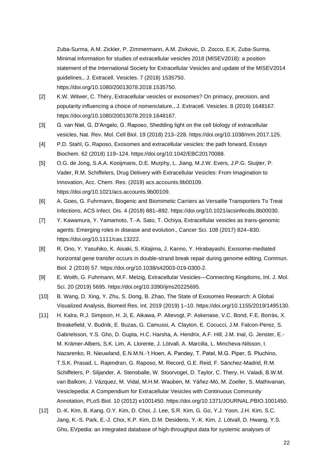Zuba-Surma, A.M. Zickler, P. Zimmermann, A.M. Zivkovic, D. Zocco, E.K. Zuba-Surma, Minimal information for studies of extracellular vesicles 2018 (MISEV2018): a position statement of the International Society for Extracellular Vesicles and update of the MISEV2014 guidelines., J. Extracell. Vesicles. 7 (2018) 1535750. https://doi.org/10.1080/20013078.2018.1535750.

- [2] K.W. Witwer, C. Théry, Extracellular vesicles or exosomes? On primacy, precision, and popularity influencing a choice of nomenclature., J. Extracell. Vesicles. 8 (2019) 1648167. https://doi.org/10.1080/20013078.2019.1648167.
- [3] G. van Niel, G. D'Angelo, G. Raposo, Shedding light on the cell biology of extracellular vesicles, Nat. Rev. Mol. Cell Biol. 19 (2018) 213–228. https://doi.org/10.1038/nrm.2017.125.
- [4] P.D. Stahl, G. Raposo, Exosomes and extracellular vesicles: the path forward, Essays Biochem. 62 (2018) 119–124. https://doi.org/10.1042/EBC20170088.
- [5] O.G. de Jong, S.A.A. Kooijmans, D.E. Murphy, L. Jiang, M.J.W. Evers, J.P.G. Sluijter, P. Vader, R.M. Schiffelers, Drug Delivery with Extracellular Vesicles: From Imagination to Innovation, Acc. Chem. Res. (2019) acs.accounts.9b00109. https://doi.org/10.1021/acs.accounts.9b00109.
- [6] A. Goes, G. Fuhrmann, Biogenic and Biomimetic Carriers as Versatile Transporters To Treat Infections, ACS Infect. Dis. 4 (2018) 881–892. https://doi.org/10.1021/acsinfecdis.8b00030.
- [7] Y. Kawamura, Y. Yamamoto, T.-A. Sato, T. Ochiya, Extracellular vesicles as trans-genomic agents: Emerging roles in disease and evolution., Cancer Sci. 108 (2017) 824–830. https://doi.org/10.1111/cas.13222.
- [8] R. Ono, Y. Yasuhiko, K. Aisaki, S. Kitajima, J. Kanno, Y. Hirabayashi, Exosome-mediated horizontal gene transfer occurs in double-strand break repair during genome editing, Commun. Biol. 2 (2019) 57. https://doi.org/10.1038/s42003-019-0300-2.
- [9] E. Woith, G. Fuhrmann, M.F. Melzig, Extracellular Vesicles—Connecting Kingdoms, Int. J. Mol. Sci. 20 (2019) 5695. https://doi.org/10.3390/ijms20225695.
- [10] B. Wang, D. Xing, Y. Zhu, S. Dong, B. Zhao, The State of Exosomes Research: A Global Visualized Analysis, Biomed Res. Int. 2019 (2019) 1–10. https://doi.org/10.1155/2019/1495130.
- [11] H. Kalra, R.J. Simpson, H. Ji, E. Aikawa, P. Altevogt, P. Askenase, V.C. Bond, F.E. Borràs, X. Breakefield, V. Budnik, E. Buzas, G. Camussi, A. Clayton, E. Cocucci, J.M. Falcon-Perez, S. Gabrielsson, Y.S. Gho, D. Gupta, H.C. Harsha, A. Hendrix, A.F. Hill, J.M. Inal, G. Jenster, E.- M. Krämer-Albers, S.K. Lim, A. Llorente, J. Lötvall, A. Marcilla, L. Mincheva-Nilsson, I. Nazarenko, R. Nieuwland, E.N.M.N.-'t Hoen, A. Pandey, T. Patel, M.G. Piper, S. Pluchino, T.S.K. Prasad, L. Rajendran, G. Raposo, M. Record, G.E. Reid, F. Sánchez-Madrid, R.M. Schiffelers, P. Siljander, A. Stensballe, W. Stoorvogel, D. Taylor, C. Thery, H. Valadi, B.W.M. van Balkom, J. Vázquez, M. Vidal, M.H.M. Wauben, M. Yáñez-Mó, M. Zoeller, S. Mathivanan, Vesiclepedia: A Compendium for Extracellular Vesicles with Continuous Community Annotation, PLoS Biol. 10 (2012) e1001450. https://doi.org/10.1371/JOURNAL.PBIO.1001450.
- [12] D.-K. Kim, B. Kang, O.Y. Kim, D. Choi, J. Lee, S.R. Kim, G. Go, Y.J. Yoon, J.H. Kim, S.C. Jang, K.-S. Park, E.-J. Choi, K.P. Kim, D.M. Desiderio, Y.-K. Kim, J. Lötvall, D. Hwang, Y.S. Gho, EVpedia: an integrated database of high-throughput data for systemic analyses of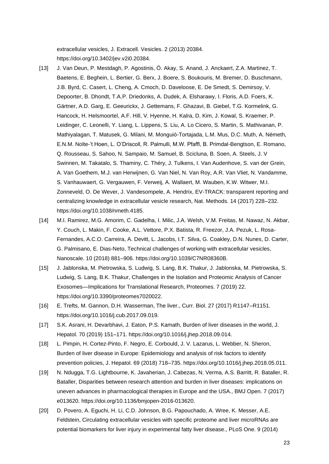extracellular vesicles, J. Extracell. Vesicles. 2 (2013) 20384. https://doi.org/10.3402/jev.v2i0.20384.

- [13] J. Van Deun, P. Mestdagh, P. Agostinis, Ö. Akay, S. Anand, J. Anckaert, Z.A. Martinez, T. Baetens, E. Beghein, L. Bertier, G. Berx, J. Boere, S. Boukouris, M. Bremer, D. Buschmann, J.B. Byrd, C. Casert, L. Cheng, A. Cmoch, D. Daveloose, E. De Smedt, S. Demirsoy, V. Depoorter, B. Dhondt, T.A.P. Driedonks, A. Dudek, A. Elsharawy, I. Floris, A.D. Foers, K. Gärtner, A.D. Garg, E. Geeurickx, J. Gettemans, F. Ghazavi, B. Giebel, T.G. Kormelink, G. Hancock, H. Helsmoortel, A.F. Hill, V. Hyenne, H. Kalra, D. Kim, J. Kowal, S. Kraemer, P. Leidinger, C. Leonelli, Y. Liang, L. Lippens, S. Liu, A. Lo Cicero, S. Martin, S. Mathivanan, P. Mathiyalagan, T. Matusek, G. Milani, M. Monguió-Tortajada, L.M. Mus, D.C. Muth, A. Németh, E.N.M. Nolte-'t Hoen, L. O'Driscoll, R. Palmulli, M.W. Pfaffl, B. Primdal-Bengtson, E. Romano, Q. Rousseau, S. Sahoo, N. Sampaio, M. Samuel, B. Scicluna, B. Soen, A. Steels, J. V Swinnen, M. Takatalo, S. Thaminy, C. Théry, J. Tulkens, I. Van Audenhove, S. van der Grein, A. Van Goethem, M.J. van Herwijnen, G. Van Niel, N. Van Roy, A.R. Van Vliet, N. Vandamme, S. Vanhauwaert, G. Vergauwen, F. Verweij, A. Wallaert, M. Wauben, K.W. Witwer, M.I. Zonneveld, O. De Wever, J. Vandesompele, A. Hendrix, EV-TRACK: transparent reporting and centralizing knowledge in extracellular vesicle research, Nat. Methods. 14 (2017) 228–232. https://doi.org/10.1038/nmeth.4185.
- [14] M.I. Ramirez, M.G. Amorim, C. Gadelha, I. Milic, J.A. Welsh, V.M. Freitas, M. Nawaz, N. Akbar, Y. Couch, L. Makin, F. Cooke, A.L. Vettore, P.X. Batista, R. Freezor, J.A. Pezuk, L. Rosa-Fernandes, A.C.O. Carreira, A. Devitt, L. Jacobs, I.T. Silva, G. Coakley, D.N. Nunes, D. Carter, G. Palmisano, E. Dias-Neto, Technical challenges of working with extracellular vesicles, Nanoscale. 10 (2018) 881–906. https://doi.org/10.1039/C7NR08360B.
- [15] J. Jablonska, M. Pietrowska, S. Ludwig, S. Lang, B.K. Thakur, J. Jablonska, M. Pietrowska, S. Ludwig, S. Lang, B.K. Thakur, Challenges in the Isolation and Proteomic Analysis of Cancer Exosomes—Implications for Translational Research, Proteomes. 7 (2019) 22. https://doi.org/10.3390/proteomes7020022.
- [16] E. Trefts, M. Gannon, D.H. Wasserman, The liver., Curr. Biol. 27 (2017) R1147–R1151. https://doi.org/10.1016/j.cub.2017.09.019.
- [17] S.K. Asrani, H. Devarbhavi, J. Eaton, P.S. Kamath, Burden of liver diseases in the world, J. Hepatol. 70 (2019) 151–171. https://doi.org/10.1016/j.jhep.2018.09.014.
- [18] L. Pimpin, H. Cortez-Pinto, F. Negro, E. Corbould, J. V. Lazarus, L. Webber, N. Sheron, Burden of liver disease in Europe: Epidemiology and analysis of risk factors to identify prevention policies, J. Hepatol. 69 (2018) 718–735. https://doi.org/10.1016/j.jhep.2018.05.011.
- [19] N. Ndugga, T.G. Lightbourne, K. Javaherian, J. Cabezas, N. Verma, A.S. Barritt, R. Bataller, R. Bataller, Disparities between research attention and burden in liver diseases: implications on uneven advances in pharmacological therapies in Europe and the USA., BMJ Open. 7 (2017) e013620. https://doi.org/10.1136/bmjopen-2016-013620.
- [20] D. Povero, A. Eguchi, H. Li, C.D. Johnson, B.G. Papouchado, A. Wree, K. Messer, A.E. Feldstein, Circulating extracellular vesicles with specific proteome and liver microRNAs are potential biomarkers for liver injury in experimental fatty liver disease., PLoS One. 9 (2014)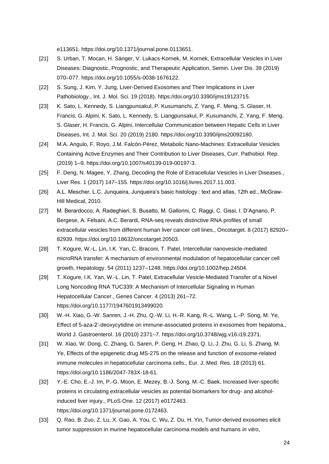e113651. https://doi.org/10.1371/journal.pone.0113651.

- [21] S. Urban, T. Mocan, H. Sänger, V. Lukacs-Kornek, M. Kornek, Extracellular Vesicles in Liver Diseases: Diagnostic, Prognostic, and Therapeutic Application, Semin. Liver Dis. 39 (2019) 070–077. https://doi.org/10.1055/s-0038-1676122.
- [22] S. Sung, J. Kim, Y. Jung, Liver-Derived Exosomes and Their Implications in Liver Pathobiology., Int. J. Mol. Sci. 19 (2018). https://doi.org/10.3390/ijms19123715.
- [23] K. Sato, L. Kennedy, S. Liangpunsakul, P. Kusumanchi, Z. Yang, F. Meng, S. Glaser, H. Francis, G. Alpini, K. Sato, L. Kennedy, S. Liangpunsakul, P. Kusumanchi, Z. Yang, F. Meng, S. Glaser, H. Francis, G. Alpini, Intercellular Communication between Hepatic Cells in Liver Diseases, Int. J. Mol. Sci. 20 (2019) 2180. https://doi.org/10.3390/ijms20092180.
- [24] M.A. Angulo, F. Royo, J.M. Falcón-Pérez, Metabolic Nano-Machines: Extracellular Vesicles Containing Active Enzymes and Their Contribution to Liver Diseases, Curr. Pathobiol. Rep. (2019) 1–9. https://doi.org/10.1007/s40139-019-00197-3.
- [25] F. Deng, N. Magee, Y. Zhang, Decoding the Role of Extracellular Vesicles in Liver Diseases., Liver Res. 1 (2017) 147–155. https://doi.org/10.1016/j.livres.2017.11.003.
- [26] A.L. Mescher, L.C. Junqueira, Junqueira's basic histology : text and atlas, 12th ed., McGraw-Hill Medical, 2010.
- [27] M. Berardocco, A. Radeghieri, S. Busatto, M. Gallorini, C. Raggi, C. Gissi, I. D'Agnano, P. Bergese, A. Felsani, A.C. Berardi, RNA-seq reveals distinctive RNA profiles of small extracellular vesicles from different human liver cancer cell lines., Oncotarget. 8 (2017) 82920– 82939. https://doi.org/10.18632/oncotarget.20503.
- [28] T. Kogure, W.-L. Lin, I.K. Yan, C. Braconi, T. Patel, Intercellular nanovesicle-mediated microRNA transfer: A mechanism of environmental modulation of hepatocellular cancer cell growth, Hepatology. 54 (2011) 1237–1248. https://doi.org/10.1002/hep.24504.
- [29] T. Kogure, I.K. Yan, W.-L. Lin, T. Patel, Extracellular Vesicle-Mediated Transfer of a Novel Long Noncoding RNA TUC339: A Mechanism of Intercellular Signaling in Human Hepatocellular Cancer., Genes Cancer. 4 (2013) 261–72. https://doi.org/10.1177/1947601913499020.
- [30] W.-H. Xiao, G.-W. Sanren, J.-H. Zhu, Q.-W. Li, H.-R. Kang, R.-L. Wang, L.-P. Song, M. Ye, Effect of 5-aza-2'-deoxycytidine on immune-associated proteins in exosomes from hepatoma., World J. Gastroenterol. 16 (2010) 2371–7. https://doi.org/10.3748/wjg.v16.i19.2371.
- [31] W. Xiao, W. Dong, C. Zhang, G. Saren, P. Geng, H. Zhao, Q. Li, J. Zhu, G. Li, S. Zhang, M. Ye, Effects of the epigenetic drug MS-275 on the release and function of exosome-related immune molecules in hepatocellular carcinoma cells., Eur. J. Med. Res. 18 (2013) 61. https://doi.org/10.1186/2047-783X-18-61.
- [32] Y.-E. Cho, E.-J. Im, P.-G. Moon, E. Mezey, B.-J. Song, M.-C. Baek, Increased liver-specific proteins in circulating extracellular vesicles as potential biomarkers for drug- and alcoholinduced liver injury., PLoS One. 12 (2017) e0172463. https://doi.org/10.1371/journal.pone.0172463.
- [33] Q. Rao, B. Zuo, Z. Lu, X. Gao, A. You, C. Wu, Z. Du, H. Yin, Tumor-derived exosomes elicit tumor suppression in murine hepatocellular carcinoma models and humans *in vitro*,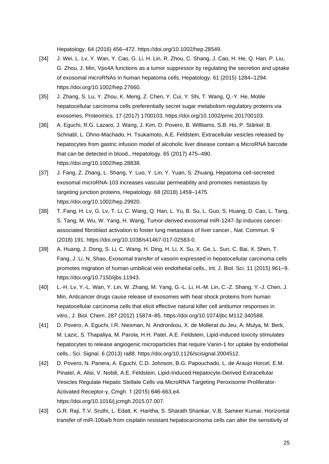Hepatology. 64 (2016) 456–472. https://doi.org/10.1002/hep.28549.

- [34] J. Wei, L. Lv, Y. Wan, Y. Cao, G. Li, H. Lin, R. Zhou, C. Shang, J. Cao, H. He, Q. Han, P. Liu, G. Zhou, J. Min, Vps4A functions as a tumor suppressor by regulating the secretion and uptake of exosomal microRNAs in human hepatoma cells, Hepatology. 61 (2015) 1284–1294. https://doi.org/10.1002/hep.27660.
- [35] J. Zhang, S. Lu, Y. Zhou, K. Meng, Z. Chen, Y. Cui, Y. Shi, T. Wang, Q.-Y. He, Motile hepatocellular carcinoma cells preferentially secret sugar metabolism regulatory proteins via exosomes, Proteomics. 17 (2017) 1700103. https://doi.org/10.1002/pmic.201700103.
- [36] A. Eguchi, R.G. Lazaro, J. Wang, J. Kim, D. Povero, B. Willliams, S.B. Ho, P. Stärkel, B. Schnabl, L. Ohno-Machado, H. Tsukamoto, A.E. Feldstein, Extracellular vesicles released by hepatocytes from gastric infusion model of alcoholic liver disease contain a MicroRNA barcode that can be detected in blood., Hepatology. 65 (2017) 475–490. https://doi.org/10.1002/hep.28838.
- [37] J. Fang, Z. Zhang, L. Shang, Y. Luo, Y. Lin, Y. Yuan, S. Zhuang, Hepatoma cell‐secreted exosomal microRNA‐103 increases vascular permeability and promotes metastasis by targeting junction proteins, Hepatology. 68 (2018) 1459–1475. https://doi.org/10.1002/hep.29920.
- [38] T. Fang, H. Lv, G. Lv, T. Li, C. Wang, Q. Han, L. Yu, B. Su, L. Guo, S. Huang, D. Cao, L. Tang, S. Tang, M. Wu, W. Yang, H. Wang, Tumor-derived exosomal miR-1247-3p induces cancerassociated fibroblast activation to foster lung metastasis of liver cancer., Nat. Commun. 9 (2018) 191. https://doi.org/10.1038/s41467-017-02583-0.
- [39] A. Huang, J. Dong, S. Li, C. Wang, H. Ding, H. Li, X. Su, X. Ge, L. Sun, C. Bai, X. Shen, T. Fang, J. Li, N. Shao, Exosomal transfer of vasorin expressed in hepatocellular carcinoma cells promotes migration of human umbilical vein endothelial cells., Int. J. Biol. Sci. 11 (2015) 961–9. https://doi.org/10.7150/ijbs.11943.
- [40] L.-H. Lv, Y.-L. Wan, Y. Lin, W. Zhang, M. Yang, G.-L. Li, H.-M. Lin, C.-Z. Shang, Y.-J. Chen, J. Min, Anticancer drugs cause release of exosomes with heat shock proteins from human hepatocellular carcinoma cells that elicit effective natural killer cell antitumor responses in vitro., J. Biol. Chem. 287 (2012) 15874–85. https://doi.org/10.1074/jbc.M112.340588.
- [41] D. Povero, A. Eguchi, I.R. Niesman, N. Andronikou, X. de Mollerat du Jeu, A. Mulya, M. Berk, M. Lazic, S. Thapaliya, M. Parola, H.H. Patel, A.E. Feldstein, Lipid-induced toxicity stimulates hepatocytes to release angiogenic microparticles that require Vanin-1 for uptake by endothelial cells., Sci. Signal. 6 (2013) ra88. https://doi.org/10.1126/scisignal.2004512.
- [42] D. Povero, N. Panera, A. Eguchi, C.D. Johnson, B.G. Papouchado, L. de Araujo Horcel, E.M. Pinatel, A. Alisi, V. Nobili, A.E. Feldstein, Lipid-Induced Hepatocyte-Derived Extracellular Vesicles Regulate Hepatic Stellate Cells via MicroRNA Targeting Peroxisome Proliferator-Activated Receptor-γ, Cmgh. 1 (2015) 646-663.e4. https://doi.org/10.1016/j.jcmgh.2015.07.007.
- [43] G.R. Raji, T.V. Sruthi, L. Edatt, K. Haritha, S. Sharath Shankar, V.B. Sameer Kumar, Horizontal transfer of miR-106a/b from cisplatin resistant hepatocarcinoma cells can alter the sensitivity of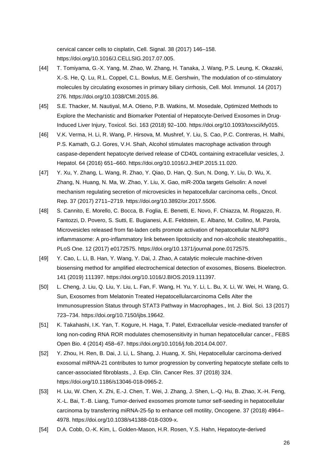cervical cancer cells to cisplatin, Cell. Signal. 38 (2017) 146–158. https://doi.org/10.1016/J.CELLSIG.2017.07.005.

- [44] T. Tomiyama, G.-X. Yang, M. Zhao, W. Zhang, H. Tanaka, J. Wang, P.S. Leung, K. Okazaki, X.-S. He, Q. Lu, R.L. Coppel, C.L. Bowlus, M.E. Gershwin, The modulation of co-stimulatory molecules by circulating exosomes in primary biliary cirrhosis, Cell. Mol. Immunol. 14 (2017) 276. https://doi.org/10.1038/CMI.2015.86.
- [45] S.E. Thacker, M. Nautiyal, M.A. Otieno, P.B. Watkins, M. Mosedale, Optimized Methods to Explore the Mechanistic and Biomarker Potential of Hepatocyte-Derived Exosomes in Drug-Induced Liver Injury, Toxicol. Sci. 163 (2018) 92–100. https://doi.org/10.1093/toxsci/kfy015.
- [46] V.K. Verma, H. Li, R. Wang, P. Hirsova, M. Mushref, Y. Liu, S. Cao, P.C. Contreras, H. Malhi, P.S. Kamath, G.J. Gores, V.H. Shah, Alcohol stimulates macrophage activation through caspase-dependent hepatocyte derived release of CD40L containing extracellular vesicles, J. Hepatol. 64 (2016) 651–660. https://doi.org/10.1016/J.JHEP.2015.11.020.
- [47] Y. Xu, Y. Zhang, L. Wang, R. Zhao, Y. Qiao, D. Han, Q. Sun, N. Dong, Y. Liu, D. Wu, X. Zhang, N. Huang, N. Ma, W. Zhao, Y. Liu, X. Gao, miR-200a targets Gelsolin: A novel mechanism regulating secretion of microvesicles in hepatocellular carcinoma cells., Oncol. Rep. 37 (2017) 2711–2719. https://doi.org/10.3892/or.2017.5506.
- [48] S. Cannito, E. Morello, C. Bocca, B. Foglia, E. Benetti, E. Novo, F. Chiazza, M. Rogazzo, R. Fantozzi, D. Povero, S. Sutti, E. Bugianesi, A.E. Feldstein, E. Albano, M. Collino, M. Parola, Microvesicles released from fat-laden cells promote activation of hepatocellular NLRP3 inflammasome: A pro-inflammatory link between lipotoxicity and non-alcoholic steatohepatitis., PLoS One. 12 (2017) e0172575. https://doi.org/10.1371/journal.pone.0172575.
- [49] Y. Cao, L. Li, B. Han, Y. Wang, Y. Dai, J. Zhao, A catalytic molecule machine-driven biosensing method for amplified electrochemical detection of exosomes, Biosens. Bioelectron. 141 (2019) 111397. https://doi.org/10.1016/J.BIOS.2019.111397.
- [50] L. Cheng, J. Liu, Q. Liu, Y. Liu, L. Fan, F. Wang, H. Yu, Y. Li, L. Bu, X. Li, W. Wei, H. Wang, G. Sun, Exosomes from Melatonin Treated Hepatocellularcarcinoma Cells Alter the Immunosupression Status through STAT3 Pathway in Macrophages., Int. J. Biol. Sci. 13 (2017) 723–734. https://doi.org/10.7150/ijbs.19642.
- [51] K. Takahashi, I.K. Yan, T. Kogure, H. Haga, T. Patel, Extracellular vesicle-mediated transfer of long non-coding RNA ROR modulates chemosensitivity in human hepatocellular cancer., FEBS Open Bio. 4 (2014) 458–67. https://doi.org/10.1016/j.fob.2014.04.007.
- [52] Y. Zhou, H. Ren, B. Dai, J. Li, L. Shang, J. Huang, X. Shi, Hepatocellular carcinoma-derived exosomal miRNA-21 contributes to tumor progression by converting hepatocyte stellate cells to cancer-associated fibroblasts., J. Exp. Clin. Cancer Res. 37 (2018) 324. https://doi.org/10.1186/s13046-018-0965-2.
- [53] H. Liu, W. Chen, X. Zhi, E.-J. Chen, T. Wei, J. Zhang, J. Shen, L.-Q. Hu, B. Zhao, X.-H. Feng, X.-L. Bai, T.-B. Liang, Tumor-derived exosomes promote tumor self-seeding in hepatocellular carcinoma by transferring miRNA-25-5p to enhance cell motility, Oncogene. 37 (2018) 4964– 4978. https://doi.org/10.1038/s41388-018-0309-x.
- [54] D.A. Cobb, O.-K. Kim, L. Golden-Mason, H.R. Rosen, Y.S. Hahn, Hepatocyte-derived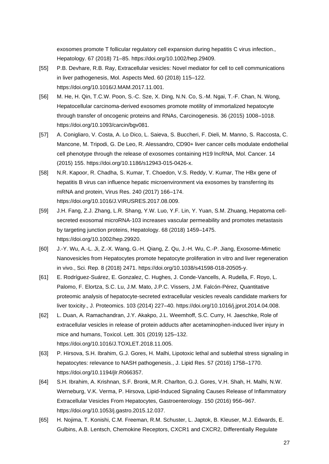exosomes promote T follicular regulatory cell expansion during hepatitis C virus infection., Hepatology. 67 (2018) 71–85. https://doi.org/10.1002/hep.29409.

- [55] P.B. Devhare, R.B. Ray, Extracellular vesicles: Novel mediator for cell to cell communications in liver pathogenesis, Mol. Aspects Med. 60 (2018) 115–122. https://doi.org/10.1016/J.MAM.2017.11.001.
- [56] M. He, H. Qin, T.C.W. Poon, S.-C. Sze, X. Ding, N.N. Co, S.-M. Ngai, T.-F. Chan, N. Wong, Hepatocellular carcinoma-derived exosomes promote motility of immortalized hepatocyte through transfer of oncogenic proteins and RNAs, Carcinogenesis. 36 (2015) 1008–1018. https://doi.org/10.1093/carcin/bgv081.
- [57] A. Conigliaro, V. Costa, A. Lo Dico, L. Saieva, S. Buccheri, F. Dieli, M. Manno, S. Raccosta, C. Mancone, M. Tripodi, G. De Leo, R. Alessandro, CD90+ liver cancer cells modulate endothelial cell phenotype through the release of exosomes containing H19 lncRNA, Mol. Cancer. 14 (2015) 155. https://doi.org/10.1186/s12943-015-0426-x.
- [58] N.R. Kapoor, R. Chadha, S. Kumar, T. Choedon, V.S. Reddy, V. Kumar, The HBx gene of hepatitis B virus can influence hepatic microenvironment via exosomes by transferring its mRNA and protein, Virus Res. 240 (2017) 166–174. https://doi.org/10.1016/J.VIRUSRES.2017.08.009.
- [59] J.H. Fang, Z.J. Zhang, L.R. Shang, Y.W. Luo, Y.F. Lin, Y. Yuan, S.M. Zhuang, Hepatoma cellsecreted exosomal microRNA-103 increases vascular permeability and promotes metastasis by targeting junction proteins, Hepatology. 68 (2018) 1459–1475. https://doi.org/10.1002/hep.29920.
- [60] J.-Y. Wu, A.-L. Ji, Z.-X. Wang, G.-H. Qiang, Z. Qu, J.-H. Wu, C.-P. Jiang, Exosome-Mimetic Nanovesicles from Hepatocytes promote hepatocyte proliferation in vitro and liver regeneration in vivo., Sci. Rep. 8 (2018) 2471. https://doi.org/10.1038/s41598-018-20505-y.
- [61] E. Rodríguez-Suárez, E. Gonzalez, C. Hughes, J. Conde-Vancells, A. Rudella, F. Royo, L. Palomo, F. Elortza, S.C. Lu, J.M. Mato, J.P.C. Vissers, J.M. Falcón-Pérez, Quantitative proteomic analysis of hepatocyte-secreted extracellular vesicles reveals candidate markers for liver toxicity., J. Proteomics. 103 (2014) 227–40. https://doi.org/10.1016/j.jprot.2014.04.008.
- [62] L. Duan, A. Ramachandran, J.Y. Akakpo, J.L. Weemhoff, S.C. Curry, H. Jaeschke, Role of extracellular vesicles in release of protein adducts after acetaminophen-induced liver injury in mice and humans, Toxicol. Lett. 301 (2019) 125–132. https://doi.org/10.1016/J.TOXLET.2018.11.005.
- [63] P. Hirsova, S.H. Ibrahim, G.J. Gores, H. Malhi, Lipotoxic lethal and sublethal stress signaling in hepatocytes: relevance to NASH pathogenesis., J. Lipid Res. 57 (2016) 1758–1770. https://doi.org/10.1194/jlr.R066357.
- [64] S.H. Ibrahim, A. Krishnan, S.F. Bronk, M.R. Charlton, G.J. Gores, V.H. Shah, H. Malhi, N.W. Werneburg, V.K. Verma, P. Hirsova, Lipid-Induced Signaling Causes Release of Inflammatory Extracellular Vesicles From Hepatocytes, Gastroenterology. 150 (2016) 956–967. https://doi.org/10.1053/j.gastro.2015.12.037.
- [65] H. Nojima, T. Konishi, C.M. Freeman, R.M. Schuster, L. Japtok, B. Kleuser, M.J. Edwards, E. Gulbins, A.B. Lentsch, Chemokine Receptors, CXCR1 and CXCR2, Differentially Regulate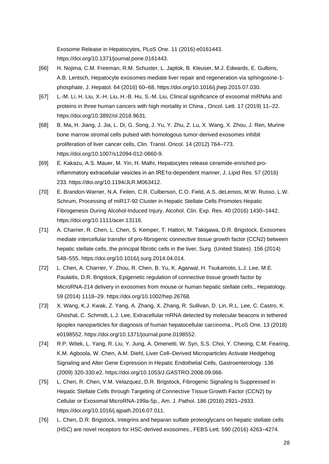Exosome Release in Hepatocytes, PLoS One. 11 (2016) e0161443. https://doi.org/10.1371/journal.pone.0161443.

- [66] H. Nojima, C.M. Freeman, R.M. Schuster, L. Japtok, B. Kleuser, M.J. Edwards, E. Gulbins, A.B. Lentsch, Hepatocyte exosomes mediate liver repair and regeneration via sphingosine-1 phosphate, J. Hepatol. 64 (2016) 60–68. https://doi.org/10.1016/j.jhep.2015.07.030.
- [67] L.-M. Li, H. Liu, X.-H. Liu, H.-B. Hu, S.-M. Liu, Clinical significance of exosomal miRNAs and proteins in three human cancers with high mortality in China., Oncol. Lett. 17 (2019) 11–22. https://doi.org/10.3892/ol.2018.9631.
- [68] B. Ma, H. Jiang, J. Jia, L. Di, G. Song, J. Yu, Y. Zhu, Z. Lu, X. Wang, X. Zhou, J. Ren, Murine bone marrow stromal cells pulsed with homologous tumor-derived exosomes inhibit proliferation of liver cancer cells, Clin. Transl. Oncol. 14 (2012) 764–773. https://doi.org/10.1007/s12094-012-0860-9.
- [69] E. Kakazu, A.S. Mauer, M. Yin, H. Malhi, Hepatocytes release ceramide-enriched proinflammatory extracellular vesicles in an IRE1α-dependent manner, J. Lipid Res. 57 (2016) 233. https://doi.org/10.1194/JLR.M063412.
- [70] E. Brandon-Warner, N.A. Feilen, C.R. Culberson, C.O. Field, A.S. deLemos, M.W. Russo, L.W. Schrum, Processing of miR17-92 Cluster in Hepatic Stellate Cells Promotes Hepatic Fibrogenesis During Alcohol-Induced Injury, Alcohol. Clin. Exp. Res. 40 (2016) 1430–1442. https://doi.org/10.1111/acer.13116.
- [71] A. Charrier, R. Chen, L. Chen, S. Kemper, T. Hattori, M. Takigawa, D.R. Brigstock, Exosomes mediate intercellular transfer of pro-fibrogenic connective tissue growth factor (CCN2) between hepatic stellate cells, the principal fibrotic cells in the liver, Surg. (United States). 156 (2014) 548–555. https://doi.org/10.1016/j.surg.2014.04.014.
- [72] L. Chen, A. Charrier, Y. Zhou, R. Chen, B. Yu, K. Agarwal, H. Tsukamoto, L.J. Lee, M.E. Paulaitis, D.R. Brigstock, Epigenetic regulation of connective tissue growth factor by MicroRNA-214 delivery in exosomes from mouse or human hepatic stellate cells., Hepatology. 59 (2014) 1118–29. https://doi.org/10.1002/hep.26768.
- [73] X. Wang, K.J. Kwak, Z. Yang, A. Zhang, X. Zhang, R. Sullivan, D. Lin, R.L. Lee, C. Castro, K. Ghoshal, C. Schmidt, L.J. Lee, Extracellular mRNA detected by molecular beacons in tethered lipoplex nanoparticles for diagnosis of human hepatocellular carcinoma., PLoS One. 13 (2018) e0198552. https://doi.org/10.1371/journal.pone.0198552.
- [74] R.P. Witek, L. Yang, R. Liu, Y. Jung, A. Omenetti, W. Syn, S.S. Choi, Y. Cheong, C.M. Fearing, K.M. Agboola, W. Chen, A.M. Diehl, Liver Cell–Derived Microparticles Activate Hedgehog Signaling and Alter Gene Expression in Hepatic Endothelial Cells, Gastroenterology. 136 (2009) 320-330.e2. https://doi.org/10.1053/J.GASTRO.2008.09.066.
- [75] L. Chen, R. Chen, V.M. Velazquez, D.R. Brigstock, Fibrogenic Signaling Is Suppressed in Hepatic Stellate Cells through Targeting of Connective Tissue Growth Factor (CCN2) by Cellular or Exosomal MicroRNA-199a-5p., Am. J. Pathol. 186 (2016) 2921–2933. https://doi.org/10.1016/j.ajpath.2016.07.011.
- [76] L. Chen, D.R. Brigstock, Integrins and heparan sulfate proteoglycans on hepatic stellate cells (HSC) are novel receptors for HSC-derived exosomes., FEBS Lett. 590 (2016) 4263–4274.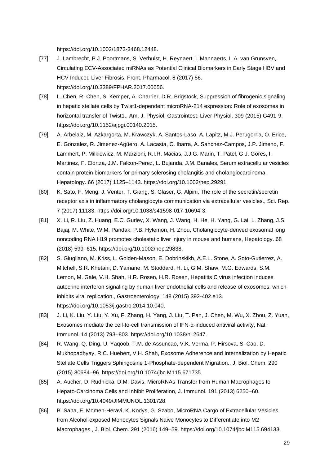https://doi.org/10.1002/1873-3468.12448.

- [77] J. Lambrecht, P.J. Poortmans, S. Verhulst, H. Reynaert, I. Mannaerts, L.A. van Grunsven, Circulating ECV-Associated miRNAs as Potential Clinical Biomarkers in Early Stage HBV and HCV Induced Liver Fibrosis, Front. Pharmacol. 8 (2017) 56. https://doi.org/10.3389/FPHAR.2017.00056.
- [78] L. Chen, R. Chen, S. Kemper, A. Charrier, D.R. Brigstock, Suppression of fibrogenic signaling in hepatic stellate cells by Twist1-dependent microRNA-214 expression: Role of exosomes in horizontal transfer of Twist1., Am. J. Physiol. Gastrointest. Liver Physiol. 309 (2015) G491-9. https://doi.org/10.1152/ajpgi.00140.2015.
- [79] A. Arbelaiz, M. Azkargorta, M. Krawczyk, A. Santos-Laso, A. Lapitz, M.J. Perugorria, O. Erice, E. Gonzalez, R. Jimenez-Agüero, A. Lacasta, C. Ibarra, A. Sanchez-Campos, J.P. Jimeno, F. Lammert, P. Milkiewicz, M. Marzioni, R.I.R. Macias, J.J.G. Marin, T. Patel, G.J. Gores, I. Martinez, F. Elortza, J.M. Falcon-Perez, L. Bujanda, J.M. Banales, Serum extracellular vesicles contain protein biomarkers for primary sclerosing cholangitis and cholangiocarcinoma, Hepatology. 66 (2017) 1125–1143. https://doi.org/10.1002/hep.29291.
- [80] K. Sato, F. Meng, J. Venter, T. Giang, S. Glaser, G. Alpini, The role of the secretin/secretin receptor axis in inflammatory cholangiocyte communication via extracellular vesicles., Sci. Rep. 7 (2017) 11183. https://doi.org/10.1038/s41598-017-10694-3.
- [81] X. Li, R. Liu, Z. Huang, E.C. Gurley, X. Wang, J. Wang, H. He, H. Yang, G. Lai, L. Zhang, J.S. Bajaj, M. White, W.M. Pandak, P.B. Hylemon, H. Zhou, Cholangiocyte-derived exosomal long noncoding RNA H19 promotes cholestatic liver injury in mouse and humans, Hepatology. 68 (2018) 599–615. https://doi.org/10.1002/hep.29838.
- [82] S. Giugliano, M. Kriss, L. Golden-Mason, E. Dobrinskikh, A.E.L. Stone, A. Soto-Gutierrez, A. Mitchell, S.R. Khetani, D. Yamane, M. Stoddard, H. Li, G.M. Shaw, M.G. Edwards, S.M. Lemon, M. Gale, V.H. Shah, H.R. Rosen, H.R. Rosen, Hepatitis C virus infection induces autocrine interferon signaling by human liver endothelial cells and release of exosomes, which inhibits viral replication., Gastroenterology. 148 (2015) 392-402.e13. https://doi.org/10.1053/j.gastro.2014.10.040.
- [83] J. Li, K. Liu, Y. Liu, Y. Xu, F. Zhang, H. Yang, J. Liu, T. Pan, J. Chen, M. Wu, X. Zhou, Z. Yuan, Exosomes mediate the cell-to-cell transmission of IFN-α-induced antiviral activity, Nat. Immunol. 14 (2013) 793–803. https://doi.org/10.1038/ni.2647.
- [84] R. Wang, Q. Ding, U. Yaqoob, T.M. de Assuncao, V.K. Verma, P. Hirsova, S. Cao, D. Mukhopadhyay, R.C. Huebert, V.H. Shah, Exosome Adherence and Internalization by Hepatic Stellate Cells Triggers Sphingosine 1-Phosphate-dependent Migration., J. Biol. Chem. 290 (2015) 30684–96. https://doi.org/10.1074/jbc.M115.671735.
- [85] A. Aucher, D. Rudnicka, D.M. Davis, MicroRNAs Transfer from Human Macrophages to Hepato-Carcinoma Cells and Inhibit Proliferation, J. Immunol. 191 (2013) 6250–60. https://doi.org/10.4049/JIMMUNOL.1301728.
- [86] B. Saha, F. Momen-Heravi, K. Kodys, G. Szabo, MicroRNA Cargo of Extracellular Vesicles from Alcohol-exposed Monocytes Signals Naive Monocytes to Differentiate into M2 Macrophages., J. Biol. Chem. 291 (2016) 149–59. https://doi.org/10.1074/jbc.M115.694133.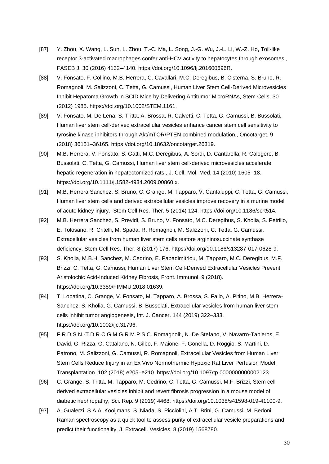- [87] Y. Zhou, X. Wang, L. Sun, L. Zhou, T.-C. Ma, L. Song, J.-G. Wu, J.-L. Li, W.-Z. Ho, Toll-like receptor 3-activated macrophages confer anti-HCV activity to hepatocytes through exosomes., FASEB J. 30 (2016) 4132–4140. https://doi.org/10.1096/fj.201600696R.
- [88] V. Fonsato, F. Collino, M.B. Herrera, C. Cavallari, M.C. Deregibus, B. Cisterna, S. Bruno, R. Romagnoli, M. Salizzoni, C. Tetta, G. Camussi, Human Liver Stem Cell-Derived Microvesicles Inhibit Hepatoma Growth in SCID Mice by Delivering Antitumor MicroRNAs, Stem Cells. 30 (2012) 1985. https://doi.org/10.1002/STEM.1161.
- [89] V. Fonsato, M. De Lena, S. Tritta, A. Brossa, R. Calvetti, C. Tetta, G. Camussi, B. Bussolati, Human liver stem cell-derived extracellular vesicles enhance cancer stem cell sensitivity to tyrosine kinase inhibitors through Akt/mTOR/PTEN combined modulation., Oncotarget. 9 (2018) 36151–36165. https://doi.org/10.18632/oncotarget.26319.
- [90] M.B. Herrera, V. Fonsato, S. Gatti, M.C. Deregibus, A. Sordi, D. Cantarella, R. Calogero, B. Bussolati, C. Tetta, G. Camussi, Human liver stem cell-derived microvesicles accelerate hepatic regeneration in hepatectomized rats., J. Cell. Mol. Med. 14 (2010) 1605–18. https://doi.org/10.1111/j.1582-4934.2009.00860.x.
- [91] M.B. Herrera Sanchez, S. Bruno, C. Grange, M. Tapparo, V. Cantaluppi, C. Tetta, G. Camussi, Human liver stem cells and derived extracellular vesicles improve recovery in a murine model of acute kidney injury., Stem Cell Res. Ther. 5 (2014) 124. https://doi.org/10.1186/scrt514.
- [92] M.B. Herrera Sanchez, S. Previdi, S. Bruno, V. Fonsato, M.C. Deregibus, S. Kholia, S. Petrillo, E. Tolosano, R. Critelli, M. Spada, R. Romagnoli, M. Salizzoni, C. Tetta, G. Camussi, Extracellular vesicles from human liver stem cells restore argininosuccinate synthase deficiency, Stem Cell Res. Ther. 8 (2017) 176. https://doi.org/10.1186/s13287-017-0628-9.
- [93] S. Kholia, M.B.H. Sanchez, M. Cedrino, E. Papadimitriou, M. Tapparo, M.C. Deregibus, M.F. Brizzi, C. Tetta, G. Camussi, Human Liver Stem Cell-Derived Extracellular Vesicles Prevent Aristolochic Acid-Induced Kidney Fibrosis, Front. Immunol. 9 (2018). https://doi.org/10.3389/FIMMU.2018.01639.
- [94] T. Lopatina, C. Grange, V. Fonsato, M. Tapparo, A. Brossa, S. Fallo, A. Pitino, M.B. Herrera-Sanchez, S. Kholia, G. Camussi, B. Bussolati, Extracellular vesicles from human liver stem cells inhibit tumor angiogenesis, Int. J. Cancer. 144 (2019) 322–333. https://doi.org/10.1002/ijc.31796.
- [95] F.R.D.S.N.-T.D.R.C.G.M.G.R.M.P.S.C. Romagnoli;, N. De Stefano, V. Navarro-Tableros, E. David, G. Rizza, G. Catalano, N. Gilbo, F. Maione, F. Gonella, D. Roggio, S. Martini, D. Patrono, M. Salizzoni, G. Camussi, R. Romagnoli, Extracellular Vesicles from Human Liver Stem Cells Reduce Injury in an Ex Vivo Normothermic Hypoxic Rat Liver Perfusion Model, Transplantation. 102 (2018) e205–e210. https://doi.org/10.1097/tp.0000000000002123.
- [96] C. Grange, S. Tritta, M. Tapparo, M. Cedrino, C. Tetta, G. Camussi, M.F. Brizzi, Stem cellderived extracellular vesicles inhibit and revert fibrosis progression in a mouse model of diabetic nephropathy, Sci. Rep. 9 (2019) 4468. https://doi.org/10.1038/s41598-019-41100-9.
- [97] A. Gualerzi, S.A.A. Kooijmans, S. Niada, S. Picciolini, A.T. Brini, G. Camussi, M. Bedoni, Raman spectroscopy as a quick tool to assess purity of extracellular vesicle preparations and predict their functionality, J. Extracell. Vesicles. 8 (2019) 1568780.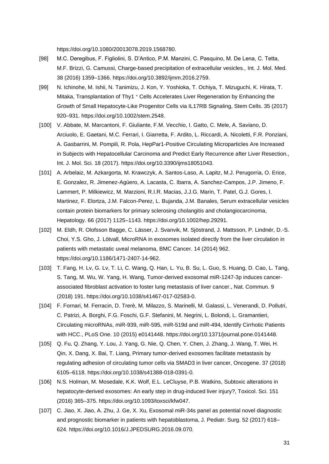https://doi.org/10.1080/20013078.2019.1568780.

- [98] M.C. Deregibus, F. Figliolini, S. D'Antico, P.M. Manzini, C. Pasquino, M. De Lena, C. Tetta, M.F. Brizzi, G. Camussi, Charge-based precipitation of extracellular vesicles., Int. J. Mol. Med. 38 (2016) 1359–1366. https://doi.org/10.3892/ijmm.2016.2759.
- [99] N. Ichinohe, M. Ishii, N. Tanimizu, J. Kon, Y. Yoshioka, T. Ochiya, T. Mizuguchi, K. Hirata, T. Mitaka, Transplantation of Thy1 <sup>+</sup> Cells Accelerates Liver Regeneration by Enhancing the Growth of Small Hepatocyte-Like Progenitor Cells via IL17RB Signaling, Stem Cells. 35 (2017) 920–931. https://doi.org/10.1002/stem.2548.
- [100] V. Abbate, M. Marcantoni, F. Giuliante, F.M. Vecchio, I. Gatto, C. Mele, A. Saviano, D. Arciuolo, E. Gaetani, M.C. Ferrari, I. Giarretta, F. Ardito, L. Riccardi, A. Nicoletti, F.R. Ponziani, A. Gasbarrini, M. Pompili, R. Pola, HepPar1-Positive Circulating Microparticles Are Increased in Subjects with Hepatocellular Carcinoma and Predict Early Recurrence after Liver Resection., Int. J. Mol. Sci. 18 (2017). https://doi.org/10.3390/ijms18051043.
- [101] A. Arbelaiz, M. Azkargorta, M. Krawczyk, A. Santos-Laso, A. Lapitz, M.J. Perugorria, O. Erice, E. Gonzalez, R. Jimenez-Agüero, A. Lacasta, C. Ibarra, A. Sanchez-Campos, J.P. Jimeno, F. Lammert, P. Milkiewicz, M. Marzioni, R.I.R. Macias, J.J.G. Marin, T. Patel, G.J. Gores, I. Martinez, F. Elortza, J.M. Falcon-Perez, L. Bujanda, J.M. Banales, Serum extracellular vesicles contain protein biomarkers for primary sclerosing cholangitis and cholangiocarcinoma, Hepatology. 66 (2017) 1125–1143. https://doi.org/10.1002/hep.29291.
- [102] M. Eldh, R. Olofsson Bagge, C. Lässer, J. Svanvik, M. Sjöstrand, J. Mattsson, P. Lindnér, D.-S. Choi, Y.S. Gho, J. Lötvall, MicroRNA in exosomes isolated directly from the liver circulation in patients with metastatic uveal melanoma, BMC Cancer. 14 (2014) 962. https://doi.org/10.1186/1471-2407-14-962.
- [103] T. Fang, H. Lv, G. Lv, T. Li, C. Wang, Q. Han, L. Yu, B. Su, L. Guo, S. Huang, D. Cao, L. Tang, S. Tang, M. Wu, W. Yang, H. Wang, Tumor-derived exosomal miR-1247-3p induces cancerassociated fibroblast activation to foster lung metastasis of liver cancer., Nat. Commun. 9 (2018) 191. https://doi.org/10.1038/s41467-017-02583-0.
- [104] F. Fornari, M. Ferracin, D. Trerè, M. Milazzo, S. Marinelli, M. Galassi, L. Venerandi, D. Pollutri, C. Patrizi, A. Borghi, F.G. Foschi, G.F. Stefanini, M. Negrini, L. Bolondi, L. Gramantieri, Circulating microRNAs, miR-939, miR-595, miR-519d and miR-494, Identify Cirrhotic Patients with HCC., PLoS One. 10 (2015) e0141448. https://doi.org/10.1371/journal.pone.0141448.
- [105] Q. Fu, Q. Zhang, Y. Lou, J. Yang, G. Nie, Q. Chen, Y. Chen, J. Zhang, J. Wang, T. Wei, H. Qin, X. Dang, X. Bai, T. Liang, Primary tumor-derived exosomes facilitate metastasis by regulating adhesion of circulating tumor cells via SMAD3 in liver cancer, Oncogene. 37 (2018) 6105–6118. https://doi.org/10.1038/s41388-018-0391-0.
- [106] N.S. Holman, M. Mosedale, K.K. Wolf, E.L. LeCluyse, P.B. Watkins, Subtoxic alterations in hepatocyte-derived exosomes: An early step in drug-induced liver injury?, Toxicol. Sci. 151 (2016) 365–375. https://doi.org/10.1093/toxsci/kfw047.
- [107] C. Jiao, X. Jiao, A. Zhu, J. Ge, X. Xu, Exosomal miR-34s panel as potential novel diagnostic and prognostic biomarker in patients with hepatoblastoma, J. Pediatr. Surg. 52 (2017) 618– 624. https://doi.org/10.1016/J.JPEDSURG.2016.09.070.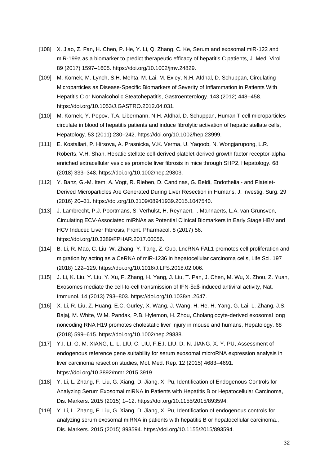- [108] X. Jiao, Z. Fan, H. Chen, P. He, Y. Li, Q. Zhang, C. Ke, Serum and exosomal miR-122 and miR-199a as a biomarker to predict therapeutic efficacy of hepatitis C patients, J. Med. Virol. 89 (2017) 1597–1605. https://doi.org/10.1002/jmv.24829.
- [109] M. Kornek, M. Lynch, S.H. Mehta, M. Lai, M. Exley, N.H. Afdhal, D. Schuppan, Circulating Microparticles as Disease-Specific Biomarkers of Severity of Inflammation in Patients With Hepatitis C or Nonalcoholic Steatohepatitis, Gastroenterology. 143 (2012) 448–458. https://doi.org/10.1053/J.GASTRO.2012.04.031.
- [110] M. Kornek, Y. Popov, T.A. Libermann, N.H. Afdhal, D. Schuppan, Human T cell microparticles circulate in blood of hepatitis patients and induce fibrolytic activation of hepatic stellate cells, Hepatology. 53 (2011) 230–242. https://doi.org/10.1002/hep.23999.
- [111] E. Kostallari, P. Hirsova, A. Prasnicka, V.K. Verma, U. Yaqoob, N. Wongjarupong, L.R. Roberts, V.H. Shah, Hepatic stellate cell-derived platelet-derived growth factor receptor-alphaenriched extracellular vesicles promote liver fibrosis in mice through SHP2, Hepatology. 68 (2018) 333–348. https://doi.org/10.1002/hep.29803.
- [112] Y. Banz, G.-M. Item, A. Vogt, R. Rieben, D. Candinas, G. Beldi, Endothelial- and Platelet-Derived Microparticles Are Generated During Liver Resection in Humans, J. Investig. Surg. 29 (2016) 20–31. https://doi.org/10.3109/08941939.2015.1047540.
- [113] J. Lambrecht, P.J. Poortmans, S. Verhulst, H. Reynaert, I. Mannaerts, L.A. van Grunsven, Circulating ECV-Associated miRNAs as Potential Clinical Biomarkers in Early Stage HBV and HCV Induced Liver Fibrosis, Front. Pharmacol. 8 (2017) 56. https://doi.org/10.3389/FPHAR.2017.00056.
- [114] B. Li, R. Mao, C. Liu, W. Zhang, Y. Tang, Z. Guo, LncRNA FAL1 promotes cell proliferation and migration by acting as a CeRNA of miR-1236 in hepatocellular carcinoma cells, Life Sci. 197 (2018) 122–129. https://doi.org/10.1016/J.LFS.2018.02.006.
- [115] J. Li, K. Liu, Y. Liu, Y. Xu, F. Zhang, H. Yang, J. Liu, T. Pan, J. Chen, M. Wu, X. Zhou, Z. Yuan, Exosomes mediate the cell-to-cell transmission of IFN-\$α\$-induced antiviral activity, Nat. Immunol. 14 (2013) 793–803. https://doi.org/10.1038/ni.2647.
- [116] X. Li, R. Liu, Z. Huang, E.C. Gurley, X. Wang, J. Wang, H. He, H. Yang, G. Lai, L. Zhang, J.S. Bajaj, M. White, W.M. Pandak, P.B. Hylemon, H. Zhou, Cholangiocyte-derived exosomal long noncoding RNA H19 promotes cholestatic liver injury in mouse and humans, Hepatology. 68 (2018) 599–615. https://doi.org/10.1002/hep.29838.
- [117] Y.I. LI, G.-M. XIANG, L.-L. LIU, C. LIU, F.E.I. LIU, D.-N. JIANG, X.-Y. PU, Assessment of endogenous reference gene suitability for serum exosomal microRNA expression analysis in liver carcinoma resection studies, Mol. Med. Rep. 12 (2015) 4683–4691. https://doi.org/10.3892/mmr.2015.3919.
- [118] Y. Li, L. Zhang, F. Liu, G. Xiang, D. Jiang, X. Pu, Identification of Endogenous Controls for Analyzing Serum Exosomal miRNA in Patients with Hepatitis B or Hepatocellular Carcinoma, Dis. Markers. 2015 (2015) 1–12. https://doi.org/10.1155/2015/893594.
- [119] Y. Li, L. Zhang, F. Liu, G. Xiang, D. Jiang, X. Pu, Identification of endogenous controls for analyzing serum exosomal miRNA in patients with hepatitis B or hepatocellular carcinoma., Dis. Markers. 2015 (2015) 893594. https://doi.org/10.1155/2015/893594.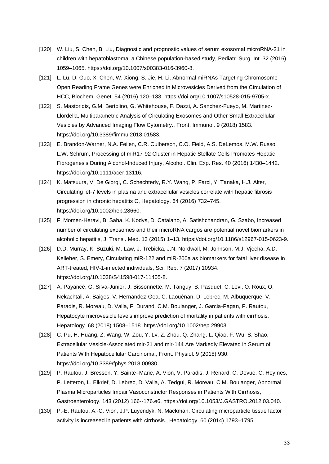- [120] W. Liu, S. Chen, B. Liu, Diagnostic and prognostic values of serum exosomal microRNA-21 in children with hepatoblastoma: a Chinese population-based study, Pediatr. Surg. Int. 32 (2016) 1059–1065. https://doi.org/10.1007/s00383-016-3960-8.
- [121] L. Lu, D. Guo, X. Chen, W. Xiong, S. Jie, H. Li, Abnormal miRNAs Targeting Chromosome Open Reading Frame Genes were Enriched in Microvesicles Derived from the Circulation of HCC, Biochem. Genet. 54 (2016) 120–133. https://doi.org/10.1007/s10528-015-9705-x.
- [122] S. Mastoridis, G.M. Bertolino, G. Whitehouse, F. Dazzi, A. Sanchez-Fueyo, M. Martinez-Llordella, Multiparametric Analysis of Circulating Exosomes and Other Small Extracellular Vesicles by Advanced Imaging Flow Cytometry., Front. Immunol. 9 (2018) 1583. https://doi.org/10.3389/fimmu.2018.01583.
- [123] E. Brandon-Warner, N.A. Feilen, C.R. Culberson, C.O. Field, A.S. DeLemos, M.W. Russo, L.W. Schrum, Processing of miR17-92 Cluster in Hepatic Stellate Cells Promotes Hepatic Fibrogenesis During Alcohol-Induced Injury, Alcohol. Clin. Exp. Res. 40 (2016) 1430–1442. https://doi.org/10.1111/acer.13116.
- [124] K. Matsuura, V. De Giorgi, C. Schechterly, R.Y. Wang, P. Farci, Y. Tanaka, H.J. Alter, Circulating let-7 levels in plasma and extracellular vesicles correlate with hepatic fibrosis progression in chronic hepatitis C, Hepatology. 64 (2016) 732–745. https://doi.org/10.1002/hep.28660.
- [125] F. Momen-Heravi, B. Saha, K. Kodys, D. Catalano, A. Satishchandran, G. Szabo, Increased number of circulating exosomes and their microRNA cargos are potential novel biomarkers in alcoholic hepatitis, J. Transl. Med. 13 (2015) 1–13. https://doi.org/10.1186/s12967-015-0623-9.
- [126] D.D. Murray, K. Suzuki, M. Law, J. Trebicka, J.N. Nordwall, M. Johnson, M.J. Vjecha, A.D. Kelleher, S. Emery, Circulating miR-122 and miR-200a as biomarkers for fatal liver disease in ART-treated, HIV-1-infected individuals, Sci. Rep. 7 (2017) 10934. https://doi.org/10.1038/S41598-017-11405-8.
- [127] A. Payancé, G. Silva-Junior, J. Bissonnette, M. Tanguy, B. Pasquet, C. Levi, O. Roux, O. Nekachtali, A. Baiges, V. Hernández‐Gea, C. Laouénan, D. Lebrec, M. Albuquerque, V. Paradis, R. Moreau, D. Valla, F. Durand, C.M. Boulanger, J. Garcia‐Pagan, P. Rautou, Hepatocyte microvesicle levels improve prediction of mortality in patients with cirrhosis, Hepatology. 68 (2018) 1508–1518. https://doi.org/10.1002/hep.29903.
- [128] C. Pu, H. Huang, Z. Wang, W. Zou, Y. Lv, Z. Zhou, Q. Zhang, L. Qiao, F. Wu, S. Shao, Extracellular Vesicle-Associated mir-21 and mir-144 Are Markedly Elevated in Serum of Patients With Hepatocellular Carcinoma., Front. Physiol. 9 (2018) 930. https://doi.org/10.3389/fphys.2018.00930.
- [129] P. Rautou, J. Bresson, Y. Sainte–Marie, A. Vion, V. Paradis, J. Renard, C. Devue, C. Heymes, P. Letteron, L. Elkrief, D. Lebrec, D. Valla, A. Tedgui, R. Moreau, C.M. Boulanger, Abnormal Plasma Microparticles Impair Vasoconstrictor Responses in Patients With Cirrhosis, Gastroenterology. 143 (2012) 166--176.e6. https://doi.org/10.1053/J.GASTRO.2012.03.040.
- [130] P.-E. Rautou, A.-C. Vion, J.P. Luyendyk, N. Mackman, Circulating microparticle tissue factor activity is increased in patients with cirrhosis., Hepatology. 60 (2014) 1793–1795.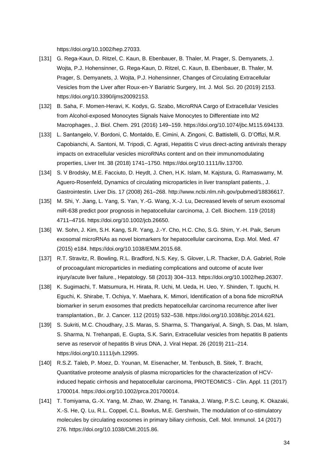https://doi.org/10.1002/hep.27033.

- [131] G. Rega-Kaun, D. Ritzel, C. Kaun, B. Ebenbauer, B. Thaler, M. Prager, S. Demyanets, J. Wojta, P.J. Hohensinner, G. Rega-Kaun, D. Ritzel, C. Kaun, B. Ebenbauer, B. Thaler, M. Prager, S. Demyanets, J. Wojta, P.J. Hohensinner, Changes of Circulating Extracellular Vesicles from the Liver after Roux-en-Y Bariatric Surgery, Int. J. Mol. Sci. 20 (2019) 2153. https://doi.org/10.3390/ijms20092153.
- [132] B. Saha, F. Momen-Heravi, K. Kodys, G. Szabo, MicroRNA Cargo of Extracellular Vesicles from Alcohol-exposed Monocytes Signals Naive Monocytes to Differentiate into M2 Macrophages., J. Biol. Chem. 291 (2016) 149–159. https://doi.org/10.1074/jbc.M115.694133.
- [133] L. Santangelo, V. Bordoni, C. Montaldo, E. Cimini, A. Zingoni, C. Battistelli, G. D'Offizi, M.R. Capobianchi, A. Santoni, M. Tripodi, C. Agrati, Hepatitis C virus direct-acting antivirals therapy impacts on extracellular vesicles microRNAs content and on their immunomodulating properties, Liver Int. 38 (2018) 1741–1750. https://doi.org/10.1111/liv.13700.
- [134] S. V Brodsky, M.E. Facciuto, D. Heydt, J. Chen, H.K. Islam, M. Kajstura, G. Ramaswamy, M. Aguero-Rosenfeld, Dynamics of circulating microparticles in liver transplant patients., J. Gastrointestin. Liver Dis. 17 (2008) 261–268. http://www.ncbi.nlm.nih.gov/pubmed/18836617.
- [135] M. Shi, Y. Jiang, L. Yang, S. Yan, Y.-G. Wang, X.-J. Lu, Decreased levels of serum exosomal miR-638 predict poor prognosis in hepatocellular carcinoma, J. Cell. Biochem. 119 (2018) 4711–4716. https://doi.org/10.1002/jcb.26650.
- [136] W. Sohn, J. Kim, S.H. Kang, S.R. Yang, J.-Y. Cho, H.C. Cho, S.G. Shim, Y.-H. Paik, Serum exosomal microRNAs as novel biomarkers for hepatocellular carcinoma, Exp. Mol. Med. 47 (2015) e184. https://doi.org/10.1038/EMM.2015.68.
- [137] R.T. Stravitz, R. Bowling, R.L. Bradford, N.S. Key, S. Glover, L.R. Thacker, D.A. Gabriel, Role of procoagulant microparticles in mediating complications and outcome of acute liver injury/acute liver failure., Hepatology. 58 (2013) 304–313. https://doi.org/10.1002/hep.26307.
- [138] K. Sugimachi, T. Matsumura, H. Hirata, R. Uchi, M. Ueda, H. Ueo, Y. Shinden, T. Iguchi, H. Eguchi, K. Shirabe, T. Ochiya, Y. Maehara, K. Mimori, Identification of a bona fide microRNA biomarker in serum exosomes that predicts hepatocellular carcinoma recurrence after liver transplantation., Br. J. Cancer. 112 (2015) 532–538. https://doi.org/10.1038/bjc.2014.621.
- [139] S. Sukriti, M.C. Choudhary, J.S. Maras, S. Sharma, S. Thangariyal, A. Singh, S. Das, M. Islam, S. Sharma, N. Trehanpati, E. Gupta, S.K. Sarin, Extracellular vesicles from hepatitis B patients serve as reservoir of hepatitis B virus DNA, J. Viral Hepat. 26 (2019) 211–214. https://doi.org/10.1111/jvh.12995.
- [140] R.S.Z. Taleb, P. Moez, D. Younan, M. Eisenacher, M. Tenbusch, B. Sitek, T. Bracht, Quantitative proteome analysis of plasma microparticles for the characterization of HCVinduced hepatic cirrhosis and hepatocellular carcinoma, PROTEOMICS - Clin. Appl. 11 (2017) 1700014. https://doi.org/10.1002/prca.201700014.
- [141] T. Tomiyama, G.-X. Yang, M. Zhao, W. Zhang, H. Tanaka, J. Wang, P.S.C. Leung, K. Okazaki, X.-S. He, Q. Lu, R.L. Coppel, C.L. Bowlus, M.E. Gershwin, The modulation of co-stimulatory molecules by circulating exosomes in primary biliary cirrhosis, Cell. Mol. Immunol. 14 (2017) 276. https://doi.org/10.1038/CMI.2015.86.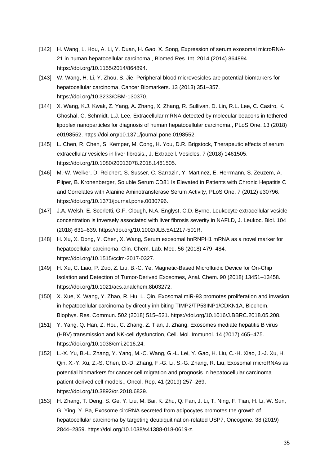- [142] H. Wang, L. Hou, A. Li, Y. Duan, H. Gao, X. Song, Expression of serum exosomal microRNA-21 in human hepatocellular carcinoma., Biomed Res. Int. 2014 (2014) 864894. https://doi.org/10.1155/2014/864894.
- [143] W. Wang, H. Li, Y. Zhou, S. Jie, Peripheral blood microvesicles are potential biomarkers for hepatocellular carcinoma, Cancer Biomarkers. 13 (2013) 351–357. https://doi.org/10.3233/CBM-130370.
- [144] X. Wang, K.J. Kwak, Z. Yang, A. Zhang, X. Zhang, R. Sullivan, D. Lin, R.L. Lee, C. Castro, K. Ghoshal, C. Schmidt, L.J. Lee, Extracellular mRNA detected by molecular beacons in tethered lipoplex nanoparticles for diagnosis of human hepatocellular carcinoma., PLoS One. 13 (2018) e0198552. https://doi.org/10.1371/journal.pone.0198552.
- [145] L. Chen, R. Chen, S. Kemper, M. Cong, H. You, D.R. Brigstock, Therapeutic effects of serum extracellular vesicles in liver fibrosis., J. Extracell. Vesicles. 7 (2018) 1461505. https://doi.org/10.1080/20013078.2018.1461505.
- [146] M.-W. Welker, D. Reichert, S. Susser, C. Sarrazin, Y. Martinez, E. Herrmann, S. Zeuzem, A. Piiper, B. Kronenberger, Soluble Serum CD81 Is Elevated in Patients with Chronic Hepatitis C and Correlates with Alanine Aminotransferase Serum Activity, PLoS One. 7 (2012) e30796. https://doi.org/10.1371/journal.pone.0030796.
- [147] J.A. Welsh, E. Scorletti, G.F. Clough, N.A. Englyst, C.D. Byrne, Leukocyte extracellular vesicle concentration is inversely associated with liver fibrosis severity in NAFLD, J. Leukoc. Biol. 104 (2018) 631–639. https://doi.org/10.1002/JLB.5A1217-501R.
- [148] H. Xu, X. Dong, Y. Chen, X. Wang, Serum exosomal hnRNPH1 mRNA as a novel marker for hepatocellular carcinoma, Clin. Chem. Lab. Med. 56 (2018) 479–484. https://doi.org/10.1515/cclm-2017-0327.
- [149] H. Xu, C. Liao, P. Zuo, Z. Liu, B.-C. Ye, Magnetic-Based Microfluidic Device for On-Chip Isolation and Detection of Tumor-Derived Exosomes, Anal. Chem. 90 (2018) 13451–13458. https://doi.org/10.1021/acs.analchem.8b03272.
- [150] X. Xue, X. Wang, Y. Zhao, R. Hu, L. Qin, Exosomal miR-93 promotes proliferation and invasion in hepatocellular carcinoma by directly inhibiting TIMP2/TP53INP1/CDKN1A, Biochem. Biophys. Res. Commun. 502 (2018) 515–521. https://doi.org/10.1016/J.BBRC.2018.05.208.
- [151] Y. Yang, Q. Han, Z. Hou, C. Zhang, Z. Tian, J. Zhang, Exosomes mediate hepatitis B virus (HBV) transmission and NK-cell dysfunction, Cell. Mol. Immunol. 14 (2017) 465–475. https://doi.org/10.1038/cmi.2016.24.
- [152] L.-X. Yu, B.-L. Zhang, Y. Yang, M.-C. Wang, G.-L. Lei, Y. Gao, H. Liu, C.-H. Xiao, J.-J. Xu, H. Qin, X.-Y. Xu, Z.-S. Chen, D.-D. Zhang, F.-G. Li, S.-G. Zhang, R. Liu, Exosomal microRNAs as potential biomarkers for cancer cell migration and prognosis in hepatocellular carcinoma patient-derived cell models., Oncol. Rep. 41 (2019) 257–269. https://doi.org/10.3892/or.2018.6829.
- [153] H. Zhang, T. Deng, S. Ge, Y. Liu, M. Bai, K. Zhu, Q. Fan, J. Li, T. Ning, F. Tian, H. Li, W. Sun, G. Ying, Y. Ba, Exosome circRNA secreted from adipocytes promotes the growth of hepatocellular carcinoma by targeting deubiquitination-related USP7, Oncogene. 38 (2019) 2844–2859. https://doi.org/10.1038/s41388-018-0619-z.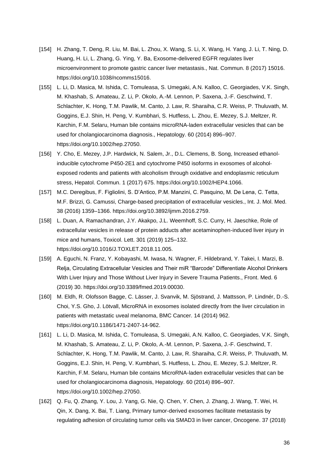- [154] H. Zhang, T. Deng, R. Liu, M. Bai, L. Zhou, X. Wang, S. Li, X. Wang, H. Yang, J. Li, T. Ning, D. Huang, H. Li, L. Zhang, G. Ying, Y. Ba, Exosome-delivered EGFR regulates liver microenvironment to promote gastric cancer liver metastasis., Nat. Commun. 8 (2017) 15016. https://doi.org/10.1038/ncomms15016.
- [155] L. Li, D. Masica, M. Ishida, C. Tomuleasa, S. Umegaki, A.N. Kalloo, C. Georgiades, V.K. Singh, M. Khashab, S. Amateau, Z. Li, P. Okolo, A.-M. Lennon, P. Saxena, J.-F. Geschwind, T. Schlachter, K. Hong, T.M. Pawlik, M. Canto, J. Law, R. Sharaiha, C.R. Weiss, P. Thuluvath, M. Goggins, E.J. Shin, H. Peng, V. Kumbhari, S. Hutfless, L. Zhou, E. Mezey, S.J. Meltzer, R. Karchin, F.M. Selaru, Human bile contains microRNA-laden extracellular vesicles that can be used for cholangiocarcinoma diagnosis., Hepatology. 60 (2014) 896–907. https://doi.org/10.1002/hep.27050.
- [156] Y. Cho, E. Mezey, J.P. Hardwick, N. Salem, Jr., D.L. Clemens, B. Song, Increased ethanolinducible cytochrome P450‐2E1 and cytochrome P450 isoforms in exosomes of alcohol‐ exposed rodents and patients with alcoholism through oxidative and endoplasmic reticulum stress, Hepatol. Commun. 1 (2017) 675. https://doi.org/10.1002/HEP4.1066.
- [157] M.C. Deregibus, F. Figliolini, S. D'Antico, P.M. Manzini, C. Pasquino, M. De Lena, C. Tetta, M.F. Brizzi, G. Camussi, Charge-based precipitation of extracellular vesicles., Int. J. Mol. Med. 38 (2016) 1359–1366. https://doi.org/10.3892/ijmm.2016.2759.
- [158] L. Duan, A. Ramachandran, J.Y. Akakpo, J.L. Weemhoff, S.C. Curry, H. Jaeschke, Role of extracellular vesicles in release of protein adducts after acetaminophen-induced liver injury in mice and humans, Toxicol. Lett. 301 (2019) 125–132. https://doi.org/10.1016/J.TOXLET.2018.11.005.
- [159] A. Eguchi, N. Franz, Y. Kobayashi, M. Iwasa, N. Wagner, F. Hildebrand, Y. Takei, I. Marzi, B. Relja, Circulating Extracellular Vesicles and Their miR "Barcode" Differentiate Alcohol Drinkers With Liver Injury and Those Without Liver Injury in Severe Trauma Patients., Front. Med. 6 (2019) 30. https://doi.org/10.3389/fmed.2019.00030.
- [160] M. Eldh, R. Olofsson Bagge, C. Lässer, J. Svanvik, M. Sjöstrand, J. Mattsson, P. Lindnér, D.-S. Choi, Y.S. Gho, J. Lötvall, MicroRNA in exosomes isolated directly from the liver circulation in patients with metastatic uveal melanoma, BMC Cancer. 14 (2014) 962. https://doi.org/10.1186/1471-2407-14-962.
- [161] L. Li, D. Masica, M. Ishida, C. Tomuleasa, S. Umegaki, A.N. Kalloo, C. Georgiades, V.K. Singh, M. Khashab, S. Amateau, Z. Li, P. Okolo, A.-M. Lennon, P. Saxena, J.-F. Geschwind, T. Schlachter, K. Hong, T.M. Pawlik, M. Canto, J. Law, R. Sharaiha, C.R. Weiss, P. Thuluvath, M. Goggins, E.J. Shin, H. Peng, V. Kumbhari, S. Hutfless, L. Zhou, E. Mezey, S.J. Meltzer, R. Karchin, F.M. Selaru, Human bile contains MicroRNA-laden extracellular vesicles that can be used for cholangiocarcinoma diagnosis, Hepatology. 60 (2014) 896–907. https://doi.org/10.1002/hep.27050.
- [162] Q. Fu, Q. Zhang, Y. Lou, J. Yang, G. Nie, Q. Chen, Y. Chen, J. Zhang, J. Wang, T. Wei, H. Qin, X. Dang, X. Bai, T. Liang, Primary tumor-derived exosomes facilitate metastasis by regulating adhesion of circulating tumor cells via SMAD3 in liver cancer, Oncogene. 37 (2018)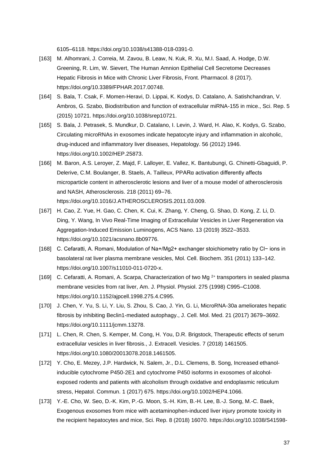6105–6118. https://doi.org/10.1038/s41388-018-0391-0.

- [163] M. Alhomrani, J. Correia, M. Zavou, B. Leaw, N. Kuk, R. Xu, M.I. Saad, A. Hodge, D.W. Greening, R. Lim, W. Sievert, The Human Amnion Epithelial Cell Secretome Decreases Hepatic Fibrosis in Mice with Chronic Liver Fibrosis, Front. Pharmacol. 8 (2017). https://doi.org/10.3389/FPHAR.2017.00748.
- [164] S. Bala, T. Csak, F. Momen-Heravi, D. Lippai, K. Kodys, D. Catalano, A. Satishchandran, V. Ambros, G. Szabo, Biodistribution and function of extracellular miRNA-155 in mice., Sci. Rep. 5 (2015) 10721. https://doi.org/10.1038/srep10721.
- [165] S. Bala, J. Petrasek, S. Mundkur, D. Catalano, I. Levin, J. Ward, H. Alao, K. Kodys, G. Szabo, Circulating microRNAs in exosomes indicate hepatocyte injury and inflammation in alcoholic, drug-induced and inflammatory liver diseases, Hepatology. 56 (2012) 1946. https://doi.org/10.1002/HEP.25873.
- [166] M. Baron, A.S. Leroyer, Z. Majd, F. Lalloyer, E. Vallez, K. Bantubungi, G. Chinetti-Gbaguidi, P. Delerive, C.M. Boulanger, B. Staels, A. Tailleux, PPARα activation differently affects microparticle content in atherosclerotic lesions and liver of a mouse model of atherosclerosis and NASH, Atherosclerosis. 218 (2011) 69–76. https://doi.org/10.1016/J.ATHEROSCLEROSIS.2011.03.009.
- [167] H. Cao, Z. Yue, H. Gao, C. Chen, K. Cui, K. Zhang, Y. Cheng, G. Shao, D. Kong, Z. Li, D. Ding, Y. Wang, In Vivo Real-Time Imaging of Extracellular Vesicles in Liver Regeneration via Aggregation-Induced Emission Luminogens, ACS Nano. 13 (2019) 3522–3533. https://doi.org/10.1021/acsnano.8b09776.
- [168] C. Cefaratti, A. Romani, Modulation of Na+/Mg2+ exchanger stoichiometry ratio by Cl− ions in basolateral rat liver plasma membrane vesicles, Mol. Cell. Biochem. 351 (2011) 133–142. https://doi.org/10.1007/s11010-011-0720-x.
- [169] C. Cefaratti, A. Romani, A. Scarpa, Characterization of two Mg 2+ transporters in sealed plasma membrane vesicles from rat liver, Am. J. Physiol. Physiol. 275 (1998) C995–C1008. https://doi.org/10.1152/ajpcell.1998.275.4.C995.
- [170] J. Chen, Y. Yu, S. Li, Y. Liu, S. Zhou, S. Cao, J. Yin, G. Li, MicroRNA-30a ameliorates hepatic fibrosis by inhibiting Beclin1-mediated autophagy., J. Cell. Mol. Med. 21 (2017) 3679–3692. https://doi.org/10.1111/jcmm.13278.
- [171] L. Chen, R. Chen, S. Kemper, M. Cong, H. You, D.R. Brigstock, Therapeutic effects of serum extracellular vesicles in liver fibrosis., J. Extracell. Vesicles. 7 (2018) 1461505. https://doi.org/10.1080/20013078.2018.1461505.
- [172] Y. Cho, E. Mezey, J.P. Hardwick, N. Salem, Jr., D.L. Clemens, B. Song, Increased ethanol‐ inducible cytochrome P450‐2E1 and cytochrome P450 isoforms in exosomes of alcohol‐ exposed rodents and patients with alcoholism through oxidative and endoplasmic reticulum stress, Hepatol. Commun. 1 (2017) 675. https://doi.org/10.1002/HEP4.1066.
- [173] Y.-E. Cho, W. Seo, D.-K. Kim, P.-G. Moon, S.-H. Kim, B.-H. Lee, B.-J. Song, M.-C. Baek, Exogenous exosomes from mice with acetaminophen-induced liver injury promote toxicity in the recipient hepatocytes and mice, Sci. Rep. 8 (2018) 16070. https://doi.org/10.1038/S41598-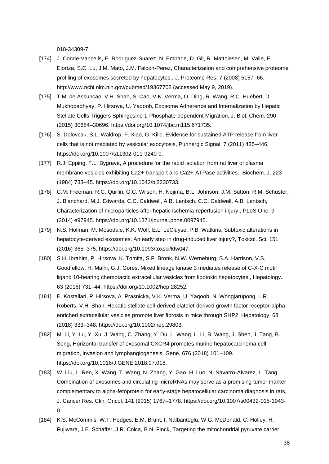018-34309-7.

- [174] J. Conde-Vancells, E. Rodriguez-Suarez, N. Embade, D. Gil, R. Matthiesen, M. Valle, F. Elortza, S.C. Lu, J.M. Mato, J.M. Falcon-Perez, Characterization and comprehensive proteome profiling of exosomes secreted by hepatocytes., J. Proteome Res. 7 (2008) 5157–66. http://www.ncbi.nlm.nih.gov/pubmed/19367702 (accessed May 9, 2019).
- [175] T.M. de Assuncao, V.H. Shah, S. Cao, V.K. Verma, Q. Ding, R. Wang, R.C. Huebert, D. Mukhopadhyay, P. Hirsova, U. Yaqoob, Exosome Adherence and Internalization by Hepatic Stellate Cells Triggers Sphingosine 1-Phosphate-dependent Migration, J. Biol. Chem. 290 (2015) 30684–30696. https://doi.org/10.1074/jbc.m115.671735.
- [176] S. Dolovcak, S.L. Waldrop, F. Xiao, G. Kilic, Evidence for sustained ATP release from liver cells that is not mediated by vesicular exocytosis, Purinergic Signal. 7 (2011) 435–446. https://doi.org/10.1007/s11302-011-9240-0.
- [177] R.J. Epping, F.L. Bygrave, A procedure for the rapid isolation from rat liver of plasma membrane vesicles exhibiting Ca2+-transport and Ca2+-ATPase activities., Biochem. J. 223 (1984) 733–45. https://doi.org/10.1042/bj2230733.
- [178] C.M. Freeman, R.C. Quillin, G.C. Wilson, H. Nojima, B.L. Johnson, J.M. Sutton, R.M. Schuster, J. Blanchard, M.J. Edwards, C.C. Caldwell, A.B. Lentsch, C.C. Caldwell, A.B. Lentsch, Characterization of microparticles after hepatic ischemia-reperfusion injury., PLoS One. 9 (2014) e97945. https://doi.org/10.1371/journal.pone.0097945.
- [179] N.S. Holman, M. Mosedale, K.K. Wolf, E.L. LeCluyse, P.B. Watkins, Subtoxic alterations in hepatocyte-derived exosomes: An early step in drug-induced liver injury?, Toxicol. Sci. 151 (2016) 365–375. https://doi.org/10.1093/toxsci/kfw047.
- [180] S.H. Ibrahim, P. Hirsova, K. Tomita, S.F. Bronk, N.W. Werneburg, S.A. Harrison, V.S. Goodfellow, H. Malhi, G.J. Gores, Mixed lineage kinase 3 mediates release of C-X-C motif ligand 10-bearing chemotactic extracellular vesicles from lipotoxic hepatocytes., Hepatology. 63 (2016) 731–44. https://doi.org/10.1002/hep.28252.
- [181] E. Kostallari, P. Hirsova, A. Prasnicka, V.K. Verma, U. Yaqoob, N. Wongjarupong, L.R. Roberts, V.H. Shah, Hepatic stellate cell-derived platelet-derived growth factor receptor-alphaenriched extracellular vesicles promote liver fibrosis in mice through SHP2, Hepatology. 68 (2018) 333–348. https://doi.org/10.1002/hep.29803.
- [182] M. Li, Y. Lu, Y. Xu, J. Wang, C. Zhang, Y. Du, L. Wang, L. Li, B. Wang, J. Shen, J. Tang, B. Song, Horizontal transfer of exosomal CXCR4 promotes murine hepatocarcinoma cell migration, invasion and lymphangiogenesis, Gene. 676 (2018) 101–109. https://doi.org/10.1016/J.GENE.2018.07.018.
- [183] W. Liu, L. Ren, X. Wang, T. Wang, N. Zhang, Y. Gao, H. Luo, N. Navarro-Alvarez, L. Tang, Combination of exosomes and circulating microRNAs may serve as a promising tumor marker complementary to alpha-fetoprotein for early-stage hepatocellular carcinoma diagnosis in rats, J. Cancer Res. Clin. Oncol. 141 (2015) 1767–1778. https://doi.org/10.1007/s00432-015-1943- 0.
- [184] K.S. McCommis, W.T. Hodges, E.M. Brunt, I. Nalbantoglu, W.G. McDonald, C. Holley, H. Fujiwara, J.E. Schaffer, J.R. Colca, B.N. Finck, Targeting the mitochondrial pyruvate carrier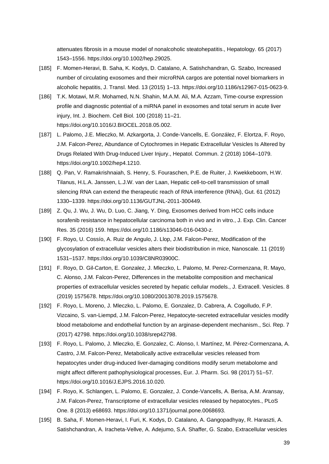attenuates fibrosis in a mouse model of nonalcoholic steatohepatitis., Hepatology. 65 (2017) 1543–1556. https://doi.org/10.1002/hep.29025.

- [185] F. Momen-Heravi, B. Saha, K. Kodys, D. Catalano, A. Satishchandran, G. Szabo, Increased number of circulating exosomes and their microRNA cargos are potential novel biomarkers in alcoholic hepatitis, J. Transl. Med. 13 (2015) 1–13. https://doi.org/10.1186/s12967-015-0623-9.
- [186] T.K. Motawi, M.R. Mohamed, N.N. Shahin, M.A.M. Ali, M.A. Azzam, Time-course expression profile and diagnostic potential of a miRNA panel in exosomes and total serum in acute liver injury, Int. J. Biochem. Cell Biol. 100 (2018) 11–21. https://doi.org/10.1016/J.BIOCEL.2018.05.002.
- [187] L. Palomo, J.E. Mleczko, M. Azkargorta, J. Conde-Vancells, E. González, F. Elortza, F. Royo, J.M. Falcon-Perez, Abundance of Cytochromes in Hepatic Extracellular Vesicles Is Altered by Drugs Related With Drug-Induced Liver Injury., Hepatol. Commun. 2 (2018) 1064–1079. https://doi.org/10.1002/hep4.1210.
- [188] Q. Pan, V. Ramakrishnaiah, S. Henry, S. Fouraschen, P.E. de Ruiter, J. Kwekkeboom, H.W. Tilanus, H.L.A. Janssen, L.J.W. van der Laan, Hepatic cell-to-cell transmission of small silencing RNA can extend the therapeutic reach of RNA interference (RNAi), Gut. 61 (2012) 1330–1339. https://doi.org/10.1136/GUTJNL-2011-300449.
- [189] Z. Qu, J. Wu, J. Wu, D. Luo, C. Jiang, Y. Ding, Exosomes derived from HCC cells induce sorafenib resistance in hepatocellular carcinoma both in vivo and in vitro., J. Exp. Clin. Cancer Res. 35 (2016) 159. https://doi.org/10.1186/s13046-016-0430-z.
- [190] F. Royo, U. Cossío, A. Ruiz de Angulo, J. Llop, J.M. Falcon-Perez, Modification of the glycosylation of extracellular vesicles alters their biodistribution in mice, Nanoscale. 11 (2019) 1531–1537. https://doi.org/10.1039/C8NR03900C.
- [191] F. Royo, D. Gil-Carton, E. Gonzalez, J. Mleczko, L. Palomo, M. Perez-Cormenzana, R. Mayo, C. Alonso, J.M. Falcon-Perez, Differences in the metabolite composition and mechanical properties of extracellular vesicles secreted by hepatic cellular models., J. Extracell. Vesicles. 8 (2019) 1575678. https://doi.org/10.1080/20013078.2019.1575678.
- [192] F. Royo, L. Moreno, J. Mleczko, L. Palomo, E. Gonzalez, D. Cabrera, A. Cogolludo, F.P. Vizcaino, S. van-Liempd, J.M. Falcon-Perez, Hepatocyte-secreted extracellular vesicles modify blood metabolome and endothelial function by an arginase-dependent mechanism., Sci. Rep. 7 (2017) 42798. https://doi.org/10.1038/srep42798.
- [193] F. Royo, L. Palomo, J. Mleczko, E. Gonzalez, C. Alonso, I. Martínez, M. Pérez-Cormenzana, A. Castro, J.M. Falcon-Perez, Metabolically active extracellular vesicles released from hepatocytes under drug-induced liver-damaging conditions modify serum metabolome and might affect different pathophysiological processes, Eur. J. Pharm. Sci. 98 (2017) 51–57. https://doi.org/10.1016/J.EJPS.2016.10.020.
- [194] F. Royo, K. Schlangen, L. Palomo, E. Gonzalez, J. Conde-Vancells, A. Berisa, A.M. Aransay, J.M. Falcon-Perez, Transcriptome of extracellular vesicles released by hepatocytes., PLoS One. 8 (2013) e68693. https://doi.org/10.1371/journal.pone.0068693.
- [195] B. Saha, F. Momen-Heravi, I. Furi, K. Kodys, D. Catalano, A. Gangopadhyay, R. Haraszti, A. Satishchandran, A. Iracheta-Vellve, A. Adejumo, S.A. Shaffer, G. Szabo, Extracellular vesicles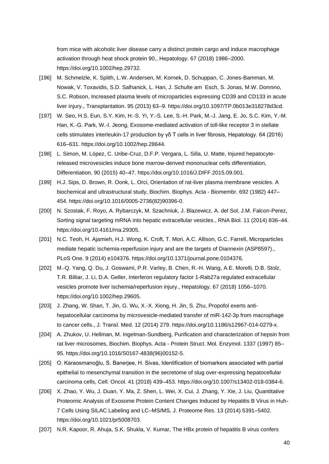from mice with alcoholic liver disease carry a distinct protein cargo and induce macrophage activation through heat shock protein 90., Hepatology. 67 (2018) 1986–2000. https://doi.org/10.1002/hep.29732.

- [196] M. Schmelzle, K. Splith, L.W. Andersen, M. Kornek, D. Schuppan, C. Jones-Bamman, M. Nowak, V. Toxavidis, S.D. Salhanick, L. Han, J. Schulte am Esch, S. Jonas, M.W. Donnino, S.C. Robson, Increased plasma levels of microparticles expressing CD39 and CD133 in acute liver injury., Transplantation. 95 (2013) 63–9. https://doi.org/10.1097/TP.0b013e318278d3cd.
- [197] W. Seo, H.S. Eun, S.Y. Kim, H.-S. Yi, Y.-S. Lee, S.-H. Park, M.-J. Jang, E. Jo, S.C. Kim, Y.-M. Han, K.-G. Park, W.-I. Jeong, Exosome-mediated activation of toll-like receptor 3 in stellate cells stimulates interleukin-17 production by γδ T cells in liver fibrosis, Hepatology. 64 (2016) 616–631. https://doi.org/10.1002/hep.28644.
- [198] L. Simon, M. López, C. Uribe-Cruz, D.F.P. Vergara, L. Silla, U. Matte, Injured hepatocytereleased microvesicles induce bone marrow-derived mononuclear cells differentiation, Differentiation. 90 (2015) 40–47. https://doi.org/10.1016/J.DIFF.2015.09.001.
- [199] H.J. Sips, D. Brown, R. Oonk, L. Orci, Orientation of rat-liver plasma membrane vesicles. A biochemical and ultrastructural study, Biochim. Biophys. Acta - Biomembr. 692 (1982) 447– 454. https://doi.org/10.1016/0005-2736(82)90396-0.
- [200] N. Szostak, F. Royo, A. Rybarczyk, M. Szachniuk, J. Blazewicz, A. del Sol, J.M. Falcon-Perez, Sorting signal targeting mRNA into hepatic extracellular vesicles., RNA Biol. 11 (2014) 836–44. https://doi.org/10.4161/rna.29305.
- [201] N.C. Teoh, H. Ajamieh, H.J. Wong, K. Croft, T. Mori, A.C. Allison, G.C. Farrell, Microparticles mediate hepatic ischemia-reperfusion injury and are the targets of Diannexin (ASP8597)., PLoS One. 9 (2014) e104376. https://doi.org/10.1371/journal.pone.0104376.
- [202] M.-Q. Yang, Q. Du, J. Goswami, P.R. Varley, B. Chen, R.-H. Wang, A.E. Morelli, D.B. Stolz, T.R. Billiar, J. Li, D.A. Geller, Interferon regulatory factor 1-Rab27a regulated extracellular vesicles promote liver ischemia/reperfusion injury., Hepatology. 67 (2018) 1056–1070. https://doi.org/10.1002/hep.29605.
- [203] J. Zhang, W. Shan, T. Jin, G. Wu, X.-X. Xiong, H. Jin, S. Zhu, Propofol exerts antihepatocellular carcinoma by microvesicle-mediated transfer of miR-142-3p from macrophage to cancer cells., J. Transl. Med. 12 (2014) 279. https://doi.org/10.1186/s12967-014-0279-x.
- [204] A. Zhukov, U. Hellman, M. Ingelman-Sundberg, Purification and characterization of hepsin from rat liver microsomes, Biochim. Biophys. Acta - Protein Struct. Mol. Enzymol. 1337 (1997) 85– 95. https://doi.org/10.1016/S0167-4838(96)00152-5.
- [205] O. Karaosmanoğlu, S. Banerjee, H. Sivas, Identification of biomarkers associated with partial epithelial to mesenchymal transition in the secretome of slug over-expressing hepatocellular carcinoma cells, Cell. Oncol. 41 (2018) 439–453. https://doi.org/10.1007/s13402-018-0384-6.
- [206] X. Zhao, Y. Wu, J. Duan, Y. Ma, Z. Shen, L. Wei, X. Cui, J. Zhang, Y. Xie, J. Liu, Quantitative Proteomic Analysis of Exosome Protein Content Changes Induced by Hepatitis B Virus in Huh-7 Cells Using SILAC Labeling and LC–MS/MS, J. Proteome Res. 13 (2014) 5391–5402. https://doi.org/10.1021/pr5008703.
- [207] N.R. Kapoor, R. Ahuja, S.K. Shukla, V. Kumar, The HBx protein of hepatitis B virus confers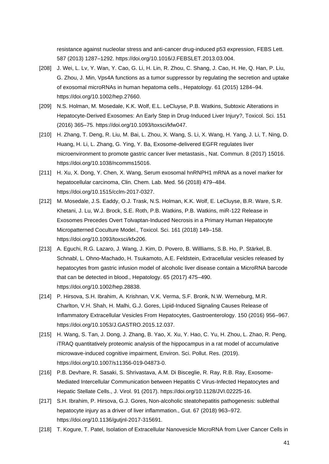resistance against nucleolar stress and anti-cancer drug-induced p53 expression, FEBS Lett. 587 (2013) 1287–1292. https://doi.org/10.1016/J.FEBSLET.2013.03.004.

- [208] J. Wei, L. Lv, Y. Wan, Y. Cao, G. Li, H. Lin, R. Zhou, C. Shang, J. Cao, H. He, Q. Han, P. Liu, G. Zhou, J. Min, Vps4A functions as a tumor suppressor by regulating the secretion and uptake of exosomal microRNAs in human hepatoma cells., Hepatology. 61 (2015) 1284–94. https://doi.org/10.1002/hep.27660.
- [209] N.S. Holman, M. Mosedale, K.K. Wolf, E.L. LeCluyse, P.B. Watkins, Subtoxic Alterations in Hepatocyte-Derived Exosomes: An Early Step in Drug-Induced Liver Injury?, Toxicol. Sci. 151 (2016) 365–75. https://doi.org/10.1093/toxsci/kfw047.
- [210] H. Zhang, T. Deng, R. Liu, M. Bai, L. Zhou, X. Wang, S. Li, X. Wang, H. Yang, J. Li, T. Ning, D. Huang, H. Li, L. Zhang, G. Ying, Y. Ba, Exosome-delivered EGFR regulates liver microenvironment to promote gastric cancer liver metastasis., Nat. Commun. 8 (2017) 15016. https://doi.org/10.1038/ncomms15016.
- [211] H. Xu, X. Dong, Y. Chen, X. Wang, Serum exosomal hnRNPH1 mRNA as a novel marker for hepatocellular carcinoma, Clin. Chem. Lab. Med. 56 (2018) 479–484. https://doi.org/10.1515/cclm-2017-0327.
- [212] M. Mosedale, J.S. Eaddy, O.J. Trask, N.S. Holman, K.K. Wolf, E. LeCluyse, B.R. Ware, S.R. Khetani, J. Lu, W.J. Brock, S.E. Roth, P.B. Watkins, P.B. Watkins, miR-122 Release in Exosomes Precedes Overt Tolvaptan-Induced Necrosis in a Primary Human Hepatocyte Micropatterned Coculture Model., Toxicol. Sci. 161 (2018) 149–158. https://doi.org/10.1093/toxsci/kfx206.
- [213] A. Eguchi, R.G. Lazaro, J. Wang, J. Kim, D. Povero, B. Willliams, S.B. Ho, P. Stärkel, B. Schnabl, L. Ohno-Machado, H. Tsukamoto, A.E. Feldstein, Extracellular vesicles released by hepatocytes from gastric infusion model of alcoholic liver disease contain a MicroRNA barcode that can be detected in blood., Hepatology. 65 (2017) 475–490. https://doi.org/10.1002/hep.28838.
- [214] P. Hirsova, S.H. Ibrahim, A. Krishnan, V.K. Verma, S.F. Bronk, N.W. Werneburg, M.R. Charlton, V.H. Shah, H. Malhi, G.J. Gores, Lipid-Induced Signaling Causes Release of Inflammatory Extracellular Vesicles From Hepatocytes, Gastroenterology. 150 (2016) 956–967. https://doi.org/10.1053/J.GASTRO.2015.12.037.
- [215] H. Wang, S. Tan, J. Dong, J. Zhang, B. Yao, X. Xu, Y. Hao, C. Yu, H. Zhou, L. Zhao, R. Peng, iTRAQ quantitatively proteomic analysis of the hippocampus in a rat model of accumulative microwave-induced cognitive impairment, Environ. Sci. Pollut. Res. (2019). https://doi.org/10.1007/s11356-019-04873-0.
- [216] P.B. Devhare, R. Sasaki, S. Shrivastava, A.M. Di Bisceglie, R. Ray, R.B. Ray, Exosome-Mediated Intercellular Communication between Hepatitis C Virus-Infected Hepatocytes and Hepatic Stellate Cells., J. Virol. 91 (2017). https://doi.org/10.1128/JVI.02225-16.
- [217] S.H. Ibrahim, P. Hirsova, G.J. Gores, Non-alcoholic steatohepatitis pathogenesis: sublethal hepatocyte injury as a driver of liver inflammation., Gut. 67 (2018) 963–972. https://doi.org/10.1136/gutjnl-2017-315691.
- [218] T. Kogure, T. Patel, Isolation of Extracellular Nanovesicle MicroRNA from Liver Cancer Cells in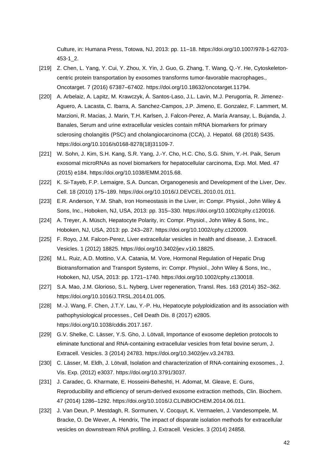Culture, in: Humana Press, Totowa, NJ, 2013: pp. 11–18. https://doi.org/10.1007/978-1-62703- 453-1\_2.

- [219] Z. Chen, L. Yang, Y. Cui, Y. Zhou, X. Yin, J. Guo, G. Zhang, T. Wang, Q.-Y. He, Cytoskeletoncentric protein transportation by exosomes transforms tumor-favorable macrophages., Oncotarget. 7 (2016) 67387–67402. https://doi.org/10.18632/oncotarget.11794.
- [220] A. Arbelaiz, A. Lapitz, M. Krawczyk, Á. Santos-Laso, J.L. Lavin, M.J. Perugorria, R. Jimenez-Aguero, A. Lacasta, C. Ibarra, A. Sanchez-Campos, J.P. Jimeno, E. Gonzalez, F. Lammert, M. Marzioni, R. Macias, J. Marin, T.H. Karlsen, J. Falcon-Perez, A. María Aransay, L. Bujanda, J. Banales, Serum and urine extracellular vesicles contain mRNA biomarkers for primary sclerosing cholangitis (PSC) and cholangiocarcinoma (CCA), J. Hepatol. 68 (2018) S435. https://doi.org/10.1016/s0168-8278(18)31109-7.
- [221] W. Sohn, J. Kim, S.H. Kang, S.R. Yang, J.-Y. Cho, H.C. Cho, S.G. Shim, Y.-H. Paik, Serum exosomal microRNAs as novel biomarkers for hepatocellular carcinoma, Exp. Mol. Med. 47 (2015) e184. https://doi.org/10.1038/EMM.2015.68.
- [222] K. Si-Tayeb, F.P. Lemaigre, S.A. Duncan, Organogenesis and Development of the Liver, Dev. Cell. 18 (2010) 175–189. https://doi.org/10.1016/J.DEVCEL.2010.01.011.
- [223] E.R. Anderson, Y.M. Shah, Iron Homeostasis in the Liver, in: Compr. Physiol., John Wiley & Sons, Inc., Hoboken, NJ, USA, 2013: pp. 315–330. https://doi.org/10.1002/cphy.c120016.
- [224] A. Treyer, A. Müsch, Hepatocyte Polarity, in: Compr. Physiol., John Wiley & Sons, Inc., Hoboken, NJ, USA, 2013: pp. 243–287. https://doi.org/10.1002/cphy.c120009.
- [225] F. Royo, J.M. Falcon-Perez, Liver extracellular vesicles in health and disease, J. Extracell. Vesicles. 1 (2012) 18825. https://doi.org/10.3402/jev.v1i0.18825.
- [226] M.L. Ruiz, A.D. Mottino, V.A. Catania, M. Vore, Hormonal Regulation of Hepatic Drug Biotransformation and Transport Systems, in: Compr. Physiol., John Wiley & Sons, Inc., Hoboken, NJ, USA, 2013: pp. 1721–1740. https://doi.org/10.1002/cphy.c130018.
- [227] S.A. Mao, J.M. Glorioso, S.L. Nyberg, Liver regeneration, Transl. Res. 163 (2014) 352–362. https://doi.org/10.1016/J.TRSL.2014.01.005.
- [228] M.-J. Wang, F. Chen, J.T.Y. Lau, Y.-P. Hu, Hepatocyte polyploidization and its association with pathophysiological processes., Cell Death Dis. 8 (2017) e2805. https://doi.org/10.1038/cddis.2017.167.
- [229] G.V. Shelke, C. Lässer, Y.S. Gho, J. Lötvall, Importance of exosome depletion protocols to eliminate functional and RNA-containing extracellular vesicles from fetal bovine serum, J. Extracell. Vesicles. 3 (2014) 24783. https://doi.org/10.3402/jev.v3.24783.
- [230] C. Lässer, M. Eldh, J. Lötvall, Isolation and characterization of RNA-containing exosomes., J. Vis. Exp. (2012) e3037. https://doi.org/10.3791/3037.
- [231] J. Caradec, G. Kharmate, E. Hosseini-Beheshti, H. Adomat, M. Gleave, E. Guns, Reproducibility and efficiency of serum-derived exosome extraction methods, Clin. Biochem. 47 (2014) 1286–1292. https://doi.org/10.1016/J.CLINBIOCHEM.2014.06.011.
- [232] J. Van Deun, P. Mestdagh, R. Sormunen, V. Cocquyt, K. Vermaelen, J. Vandesompele, M. Bracke, O. De Wever, A. Hendrix, The impact of disparate isolation methods for extracellular vesicles on downstream RNA profiling, J. Extracell. Vesicles. 3 (2014) 24858.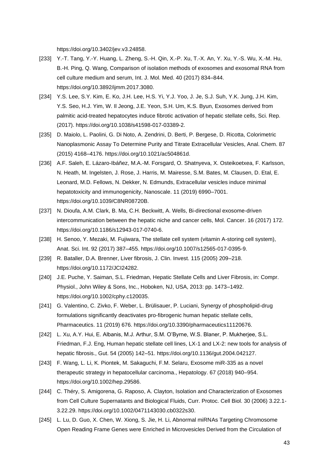https://doi.org/10.3402/jev.v3.24858.

- [233] Y.-T. Tang, Y.-Y. Huang, L. Zheng, S.-H. Qin, X.-P. Xu, T.-X. An, Y. Xu, Y.-S. Wu, X.-M. Hu, B.-H. Ping, Q. Wang, Comparison of isolation methods of exosomes and exosomal RNA from cell culture medium and serum, Int. J. Mol. Med. 40 (2017) 834–844. https://doi.org/10.3892/ijmm.2017.3080.
- [234] Y.S. Lee, S.Y. Kim, E. Ko, J.H. Lee, H.S. Yi, Y.J. Yoo, J. Je, S.J. Suh, Y.K. Jung, J.H. Kim, Y.S. Seo, H.J. Yim, W. Il Jeong, J.E. Yeon, S.H. Um, K.S. Byun, Exosomes derived from palmitic acid-treated hepatocytes induce fibrotic activation of hepatic stellate cells, Sci. Rep. (2017). https://doi.org/10.1038/s41598-017-03389-2.
- [235] D. Maiolo, L. Paolini, G. Di Noto, A. Zendrini, D. Berti, P. Bergese, D. Ricotta, Colorimetric Nanoplasmonic Assay To Determine Purity and Titrate Extracellular Vesicles, Anal. Chem. 87 (2015) 4168–4176. https://doi.org/10.1021/ac504861d.
- [236] A.F. Saleh, E. Lázaro-Ibáñez, M.A.-M. Forsgard, O. Shatnyeva, X. Osteikoetxea, F. Karlsson, N. Heath, M. Ingelsten, J. Rose, J. Harris, M. Mairesse, S.M. Bates, M. Clausen, D. Etal, E. Leonard, M.D. Fellows, N. Dekker, N. Edmunds, Extracellular vesicles induce minimal hepatotoxicity and immunogenicity, Nanoscale. 11 (2019) 6990–7001. https://doi.org/10.1039/C8NR08720B.
- [237] N. Dioufa, A.M. Clark, B. Ma, C.H. Beckwitt, A. Wells, Bi-directional exosome-driven intercommunication between the hepatic niche and cancer cells, Mol. Cancer. 16 (2017) 172. https://doi.org/10.1186/s12943-017-0740-6.
- [238] H. Senoo, Y. Mezaki, M. Fujiwara, The stellate cell system (vitamin A-storing cell system), Anat. Sci. Int. 92 (2017) 387–455. https://doi.org/10.1007/s12565-017-0395-9.
- [239] R. Bataller, D.A. Brenner, Liver fibrosis, J. Clin. Invest. 115 (2005) 209–218. https://doi.org/10.1172/JCI24282.
- [240] J.E. Puche, Y. Saiman, S.L. Friedman, Hepatic Stellate Cells and Liver Fibrosis, in: Compr. Physiol., John Wiley & Sons, Inc., Hoboken, NJ, USA, 2013: pp. 1473–1492. https://doi.org/10.1002/cphy.c120035.
- [241] G. Valentino, C. Zivko, F. Weber, L. Brülisauer, P. Luciani, Synergy of phospholipid-drug formulations significantly deactivates pro-fibrogenic human hepatic stellate cells, Pharmaceutics. 11 (2019) 676. https://doi.org/10.3390/pharmaceutics11120676.
- [242] L. Xu, A.Y. Hui, E. Albanis, M.J. Arthur, S.M. O'Byrne, W.S. Blaner, P. Mukherjee, S.L. Friedman, F.J. Eng, Human hepatic stellate cell lines, LX-1 and LX-2: new tools for analysis of hepatic fibrosis., Gut. 54 (2005) 142–51. https://doi.org/10.1136/gut.2004.042127.
- [243] F. Wang, L. Li, K. Piontek, M. Sakaguchi, F.M. Selaru, Exosome miR-335 as a novel therapeutic strategy in hepatocellular carcinoma., Hepatology. 67 (2018) 940–954. https://doi.org/10.1002/hep.29586.
- [244] C. Théry, S. Amigorena, G. Raposo, A. Clayton, Isolation and Characterization of Exosomes from Cell Culture Supernatants and Biological Fluids, Curr. Protoc. Cell Biol. 30 (2006) 3.22.1- 3.22.29. https://doi.org/10.1002/0471143030.cb0322s30.
- [245] L. Lu, D. Guo, X. Chen, W. Xiong, S. Jie, H. Li, Abnormal miRNAs Targeting Chromosome Open Reading Frame Genes were Enriched in Microvesicles Derived from the Circulation of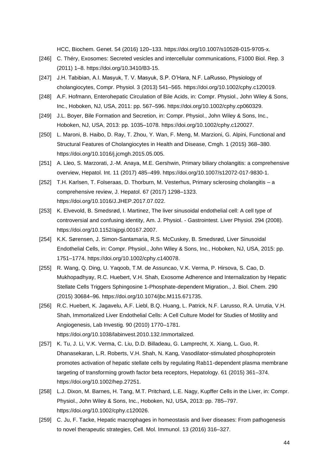HCC, Biochem. Genet. 54 (2016) 120–133. https://doi.org/10.1007/s10528-015-9705-x.

- [246] C. Théry, Exosomes: Secreted vesicles and intercellular communications, F1000 Biol. Rep. 3 (2011) 1–8. https://doi.org/10.3410/B3-15.
- [247] J.H. Tabibian, A.I. Masyuk, T. V. Masyuk, S.P. O'Hara, N.F. LaRusso, Physiology of cholangiocytes, Compr. Physiol. 3 (2013) 541–565. https://doi.org/10.1002/cphy.c120019.
- [248] A.F. Hofmann, Enterohepatic Circulation of Bile Acids, in: Compr. Physiol., John Wiley & Sons, Inc., Hoboken, NJ, USA, 2011: pp. 567–596. https://doi.org/10.1002/cphy.cp060329.
- [249] J.L. Boyer, Bile Formation and Secretion, in: Compr. Physiol., John Wiley & Sons, Inc., Hoboken, NJ, USA, 2013: pp. 1035–1078. https://doi.org/10.1002/cphy.c120027.
- [250] L. Maroni, B. Haibo, D. Ray, T. Zhou, Y. Wan, F. Meng, M. Marzioni, G. Alpini, Functional and Structural Features of Cholangiocytes in Health and Disease, Cmgh. 1 (2015) 368–380. https://doi.org/10.1016/j.jcmgh.2015.05.005.
- [251] A. Lleo, S. Marzorati, J.-M. Anaya, M.E. Gershwin, Primary biliary cholangitis: a comprehensive overview, Hepatol. Int. 11 (2017) 485–499. https://doi.org/10.1007/s12072-017-9830-1.
- [252] T.H. Karlsen, T. Folseraas, D. Thorburn, M. Vesterhus, Primary sclerosing cholangitis a comprehensive review, J. Hepatol. 67 (2017) 1298–1323. https://doi.org/10.1016/J.JHEP.2017.07.022.
- [253] K. Elvevold, B. Smedsrød, I. Martinez, The liver sinusoidal endothelial cell: A cell type of controversial and confusing identity, Am. J. Physiol. - Gastrointest. Liver Physiol. 294 (2008). https://doi.org/10.1152/ajpgi.00167.2007.
- [254] K.K. Sørensen, J. Simon-Santamaria, R.S. McCuskey, B. Smedsrød, Liver Sinusoidal Endothelial Cells, in: Compr. Physiol., John Wiley & Sons, Inc., Hoboken, NJ, USA, 2015: pp. 1751–1774. https://doi.org/10.1002/cphy.c140078.
- [255] R. Wang, Q. Ding, U. Yaqoob, T.M. de Assuncao, V.K. Verma, P. Hirsova, S. Cao, D. Mukhopadhyay, R.C. Huebert, V.H. Shah, Exosome Adherence and Internalization by Hepatic Stellate Cells Triggers Sphingosine 1-Phosphate-dependent Migration., J. Biol. Chem. 290 (2015) 30684–96. https://doi.org/10.1074/jbc.M115.671735.
- [256] R.C. Huebert, K. Jagavelu, A.F. Liebl, B.Q. Huang, L. Patrick, N.F. Larusso, R.A. Urrutia, V.H. Shah, Immortalized Liver Endothelial Cells: A Cell Culture Model for Studies of Motility and Angiogenesis, Lab Investig. 90 (2010) 1770–1781. https://doi.org/10.1038/labinvest.2010.132.Immortalized.
- [257] K. Tu, J. Li, V.K. Verma, C. Liu, D.D. Billadeau, G. Lamprecht, X. Xiang, L. Guo, R. Dhanasekaran, L.R. Roberts, V.H. Shah, N. Kang, Vasodilator-stimulated phosphoprotein promotes activation of hepatic stellate cells by regulating Rab11-dependent plasma membrane targeting of transforming growth factor beta receptors, Hepatology. 61 (2015) 361–374. https://doi.org/10.1002/hep.27251.
- [258] L.J. Dixon, M. Barnes, H. Tang, M.T. Pritchard, L.E. Nagy, Kupffer Cells in the Liver, in: Compr. Physiol., John Wiley & Sons, Inc., Hoboken, NJ, USA, 2013: pp. 785–797. https://doi.org/10.1002/cphy.c120026.
- [259] C. Ju, F. Tacke, Hepatic macrophages in homeostasis and liver diseases: From pathogenesis to novel therapeutic strategies, Cell. Mol. Immunol. 13 (2016) 316–327.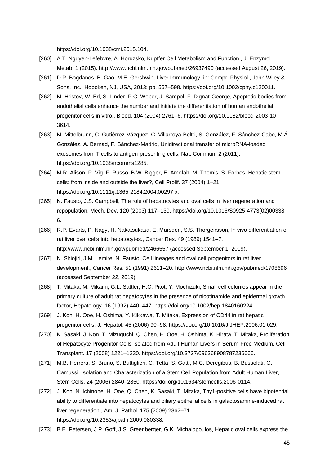https://doi.org/10.1038/cmi.2015.104.

- [260] A.T. Nguyen-Lefebvre, A. Horuzsko, Kupffer Cell Metabolism and Function., J. Enzymol. Metab. 1 (2015). http://www.ncbi.nlm.nih.gov/pubmed/26937490 (accessed August 26, 2019).
- [261] D.P. Bogdanos, B. Gao, M.E. Gershwin, Liver Immunology, in: Compr. Physiol., John Wiley & Sons, Inc., Hoboken, NJ, USA, 2013: pp. 567–598. https://doi.org/10.1002/cphy.c120011.
- [262] M. Hristov, W. Erl, S. Linder, P.C. Weber, J. Sampol, F. Dignat-George, Apoptotic bodies from endothelial cells enhance the number and initiate the differentiation of human endothelial progenitor cells in vitro., Blood. 104 (2004) 2761–6. https://doi.org/10.1182/blood-2003-10- 3614.
- [263] M. Mittelbrunn, C. Gutiérrez-Vázquez, C. Villarroya-Beltri, S. González, F. Sánchez-Cabo, M.Á. González, A. Bernad, F. Sánchez-Madrid, Unidirectional transfer of microRNA-loaded exosomes from T cells to antigen-presenting cells, Nat. Commun. 2 (2011). https://doi.org/10.1038/ncomms1285.
- [264] M.R. Alison, P. Vig, F. Russo, B.W. Bigger, E. Amofah, M. Themis, S. Forbes, Hepatic stem cells: from inside and outside the liver?, Cell Prolif. 37 (2004) 1–21. https://doi.org/10.1111/j.1365-2184.2004.00297.x.
- [265] N. Fausto, J.S. Campbell, The role of hepatocytes and oval cells in liver regeneration and repopulation, Mech. Dev. 120 (2003) 117–130. https://doi.org/10.1016/S0925-4773(02)00338- 6.
- [266] R.P. Evarts, P. Nagy, H. Nakatsukasa, E. Marsden, S.S. Thorgeirsson, In vivo differentiation of rat liver oval cells into hepatocytes., Cancer Res. 49 (1989) 1541–7. http://www.ncbi.nlm.nih.gov/pubmed/2466557 (accessed September 1, 2019).
- [267] N. Shiojiri, J.M. Lemire, N. Fausto, Cell lineages and oval cell progenitors in rat liver development., Cancer Res. 51 (1991) 2611–20. http://www.ncbi.nlm.nih.gov/pubmed/1708696 (accessed September 22, 2019).
- [268] T. Mitaka, M. Mikami, G.L. Sattler, H.C. Pitot, Y. Mochizuki, Small cell colonies appear in the primary culture of adult rat hepatocytes in the presence of nicotinamide and epidermal growth factor, Hepatology. 16 (1992) 440–447. https://doi.org/10.1002/hep.1840160224.
- [269] J. Kon, H. Ooe, H. Oshima, Y. Kikkawa, T. Mitaka, Expression of CD44 in rat hepatic progenitor cells, J. Hepatol. 45 (2006) 90–98. https://doi.org/10.1016/J.JHEP.2006.01.029.
- [270] K. Sasaki, J. Kon, T. Mizuguchi, Q. Chen, H. Ooe, H. Oshima, K. Hirata, T. Mitaka, Proliferation of Hepatocyte Progenitor Cells Isolated from Adult Human Livers in Serum-Free Medium, Cell Transplant. 17 (2008) 1221–1230. https://doi.org/10.3727/096368908787236666.
- [271] M.B. Herrera, S. Bruno, S. Buttiglieri, C. Tetta, S. Gatti, M.C. Deregibus, B. Bussolati, G. Camussi, Isolation and Characterization of a Stem Cell Population from Adult Human Liver, Stem Cells. 24 (2006) 2840–2850. https://doi.org/10.1634/stemcells.2006-0114.
- [272] J. Kon, N. Ichinohe, H. Ooe, Q. Chen, K. Sasaki, T. Mitaka, Thy1-positive cells have bipotential ability to differentiate into hepatocytes and biliary epithelial cells in galactosamine-induced rat liver regeneration., Am. J. Pathol. 175 (2009) 2362–71. https://doi.org/10.2353/ajpath.2009.080338.
- [273] B.E. Petersen, J.P. Goff, J.S. Greenberger, G.K. Michalopoulos, Hepatic oval cells express the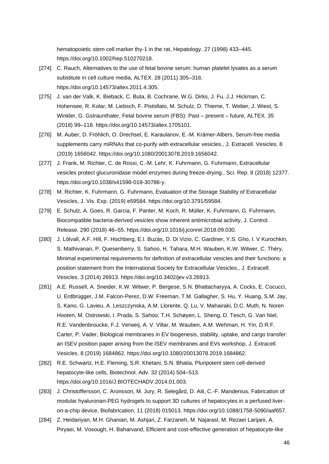hematopoietic stem cell marker thy-1 in the rat, Hepatology. 27 (1998) 433–445. https://doi.org/10.1002/hep.510270218.

- [274] C. Rauch, Alternatives to the use of fetal bovine serum: human platelet lysates as a serum substitute in cell culture media, ALTEX. 28 (2011) 305–316. https://doi.org/10.14573/altex.2011.4.305.
- [275] J. van der Valk, K. Bieback, C. Buta, B. Cochrane, W.G. Dirks, J. Fu, J.J. Hickman, C. Hohensee, R. Kolar, M. Liebsch, F. Pistollato, M. Schulz, D. Thieme, T. Weber, J. Wiest, S. Winkler, G. Gstraunthaler, Fetal bovine serum (FBS): Past – present – future, ALTEX. 35 (2018) 99–118. https://doi.org/10.14573/altex.1705101.
- [276] M. Auber, D. Fröhlich, O. Drechsel, E. Karaulanov, E.-M. Krämer-Albers, Serum-free media supplements carry miRNAs that co-purify with extracellular vesicles., J. Extracell. Vesicles. 8 (2019) 1656042. https://doi.org/10.1080/20013078.2019.1656042.
- [277] J. Frank, M. Richter, C. de Rossi, C.-M. Lehr, K. Fuhrmann, G. Fuhrmann, Extracellular vesicles protect glucuronidase model enzymes during freeze-drying., Sci. Rep. 8 (2018) 12377. https://doi.org/10.1038/s41598-018-30786-y.
- [278] M. Richter, K. Fuhrmann, G. Fuhrmann, Evaluation of the Storage Stability of Extracellular Vesicles, J. Vis. Exp. (2019) e59584. https://doi.org/10.3791/59584.
- [279] E. Schulz, A. Goes, R. Garcia, F. Panter, M. Koch, R. Müller, K. Fuhrmann, G. Fuhrmann, Biocompatible bacteria-derived vesicles show inherent antimicrobial activity, J. Control. Release. 290 (2018) 46–55. https://doi.org/10.1016/j.jconrel.2018.09.030.
- [280] J. Lötvall, A.F. Hill, F. Hochberg, E.I. Buzás, D. Di Vizio, C. Gardiner, Y.S. Gho, I. V Kurochkin, S. Mathivanan, P. Quesenberry, S. Sahoo, H. Tahara, M.H. Wauben, K.W. Witwer, C. Théry, Minimal experimental requirements for definition of extracellular vesicles and their functions: a position statement from the International Society for Extracellular Vesicles., J. Extracell. Vesicles. 3 (2014) 26913. https://doi.org/10.3402/jev.v3.26913.
- [281] A.E. Russell, A. Sneider, K.W. Witwer, P. Bergese, S.N. Bhattacharyya, A. Cocks, E. Cocucci, U. Erdbrügger, J.M. Falcon-Perez, D.W. Freeman, T.M. Gallagher, S. Hu, Y. Huang, S.M. Jay, S. Kano, G. Lavieu, A. Leszczynska, A.M. Llorente, Q. Lu, V. Mahairaki, D.C. Muth, N. Noren Hooten, M. Ostrowski, I. Prada, S. Sahoo, T.H. Schøyen, L. Sheng, D. Tesch, G. Van Niel, R.E. Vandenbroucke, F.J. Verweij, A. V. Villar, M. Wauben, A.M. Wehman, H. Yin, D.R.F. Carter, P. Vader, Biological membranes in EV biogenesis, stability, uptake, and cargo transfer: an ISEV position paper arising from the ISEV membranes and EVs workshop, J. Extracell. Vesicles. 8 (2019) 1684862. https://doi.org/10.1080/20013078.2019.1684862.
- [282] R.E. Schwartz, H.E. Fleming, S.R. Khetani, S.N. Bhatia, Pluripotent stem cell-derived hepatocyte-like cells, Biotechnol. Adv. 32 (2014) 504–513. https://doi.org/10.1016/J.BIOTECHADV.2014.01.003.
- [283] J. Christoffersson, C. Aronsson, M. Jury, R. Selegård, D. Aili, C.-F. Mandenius, Fabrication of modular hyaluronan-PEG hydrogels to support 3D cultures of hepatocytes in a perfused liveron-a-chip device, Biofabrication. 11 (2018) 015013. https://doi.org/10.1088/1758-5090/aaf657.
- [284] Z. Heidariyan, M.H. Ghanian, M. Ashjari, Z. Farzaneh, M. Najarasl, M. Rezaei Larijani, A. Piryaei, M. Vosough, H. Baharvand, Efficient and cost-effective generation of hepatocyte-like